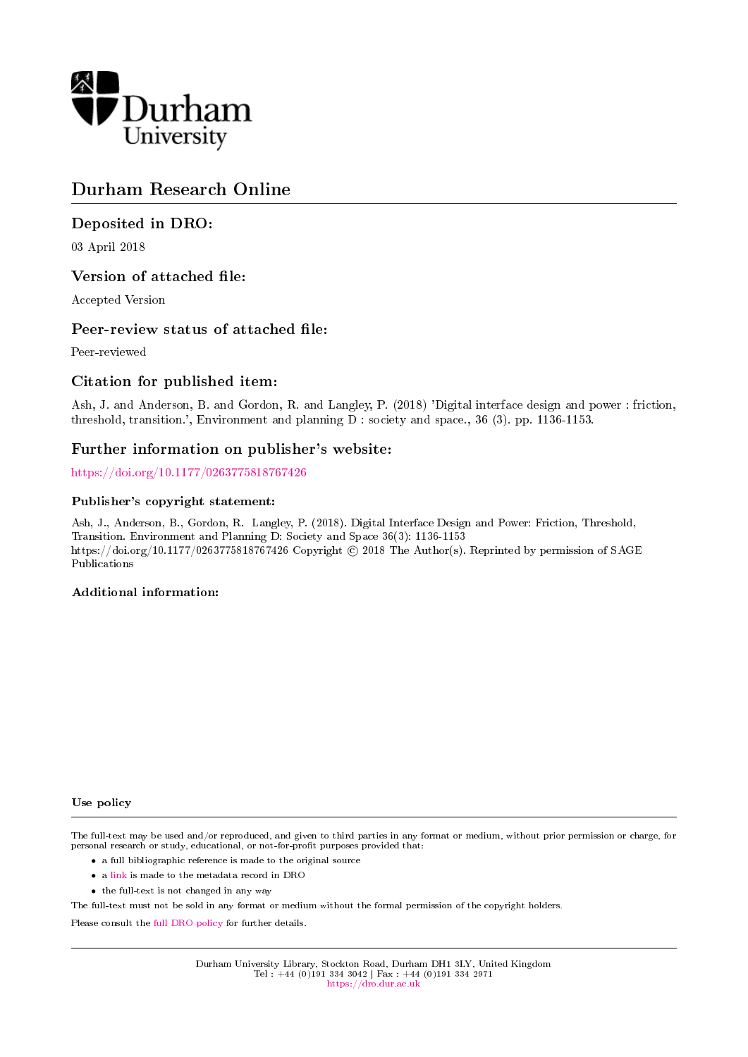

# Durham Research Online

## Deposited in DRO:

03 April 2018

### Version of attached file:

Accepted Version

### Peer-review status of attached file:

Peer-reviewed

## Citation for published item:

Ash, J. and Anderson, B. and Gordon, R. and Langley, P. (2018) 'Digital interface design and power : friction, threshold, transition.', Environment and planning D : society and space., 36 (3). pp. 1136-1153.

## Further information on publisher's website:

<https://doi.org/10.1177/0263775818767426>

#### Publisher's copyright statement:

Ash, J., Anderson, B., Gordon, R. Langley, P. (2018). Digital Interface Design and Power: Friction, Threshold, Transition. Environment and Planning D: Society and Space 36(3): 1136-1153 https://doi.org/10.1177/0263775818767426 Copyright © 2018 The Author(s). Reprinted by permission of SAGE Publications

#### Additional information:

#### Use policy

The full-text may be used and/or reproduced, and given to third parties in any format or medium, without prior permission or charge, for personal research or study, educational, or not-for-profit purposes provided that:

- a full bibliographic reference is made to the original source
- a [link](http://dro.dur.ac.uk/24423/) is made to the metadata record in DRO
- the full-text is not changed in any way

The full-text must not be sold in any format or medium without the formal permission of the copyright holders.

Please consult the [full DRO policy](https://dro.dur.ac.uk/policies/usepolicy.pdf) for further details.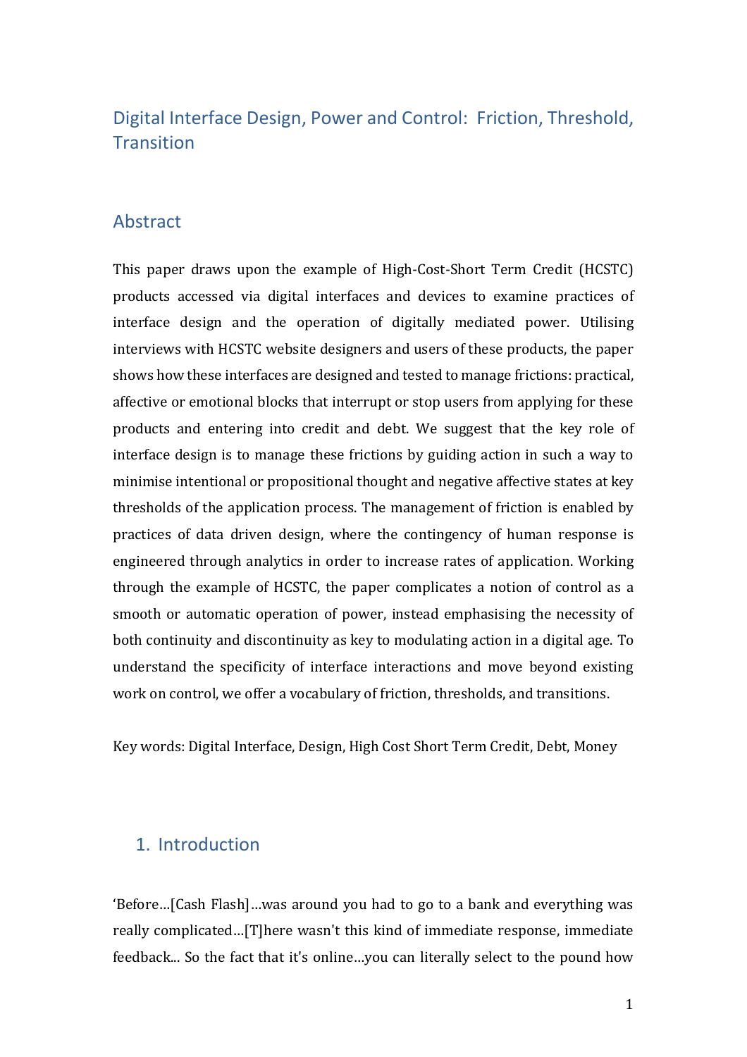# Digital Interface Design, Power and Control: Friction, Threshold, **Transition**

## Abstract

This paper draws upon the example of High-Cost-Short Term Credit (HCSTC) products accessed via digital interfaces and devices to examine practices of interface design and the operation of digitally mediated power. Utilising interviews with HCSTC website designers and users of these products, the paper shows how these interfaces are designed and tested to manage frictions: practical, affective or emotional blocks that interrupt or stop users from applying for these products and entering into credit and debt. We suggest that the key role of interface design is to manage these frictions by guiding action in such a way to minimise intentional or propositional thought and negative affective states at key thresholds of the application process. The management of friction is enabled by practices of data driven design, where the contingency of human response is engineered through analytics in order to increase rates of application. Working through the example of HCSTC, the paper complicates a notion of control as a smooth or automatic operation of power, instead emphasising the necessity of both continuity and discontinuity as key to modulating action in a digital age. To understand the specificity of interface interactions and move beyond existing work on control, we offer a vocabulary of friction, thresholds, and transitions.

Key words: Digital Interface, Design, High Cost Short Term Credit, Debt, Money

## 1. Introduction

'Before…[Cash Flash]…was around you had to go to a bank and everything was really complicated…[T]here wasn't this kind of immediate response, immediate feedback... So the fact that it's online…you can literally select to the pound how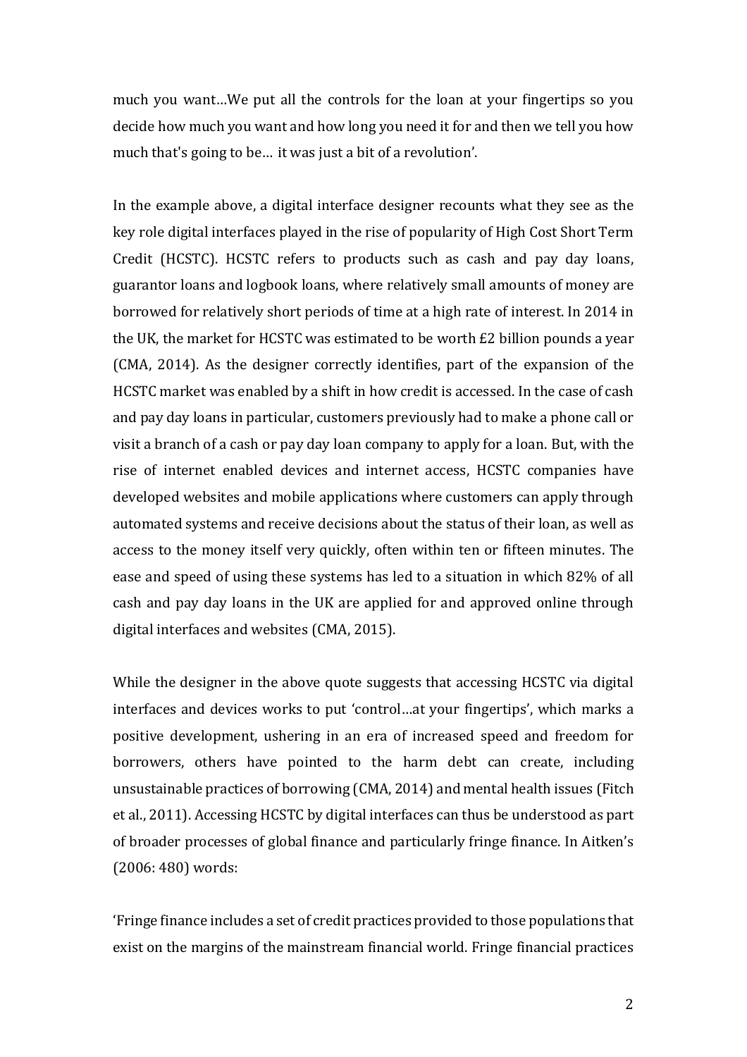much you want…We put all the controls for the loan at your fingertips so you decide how much you want and how long you need it for and then we tell you how much that's going to be… it was just a bit of a revolution'.

In the example above, a digital interface designer recounts what they see as the key role digital interfaces played in the rise of popularity of High Cost Short Term Credit (HCSTC). HCSTC refers to products such as cash and pay day loans, guarantor loans and logbook loans, where relatively small amounts of money are borrowed for relatively short periods of time at a high rate of interest. In 2014 in the UK, the market for HCSTC was estimated to be worth £2 billion pounds a year (CMA, 2014). As the designer correctly identifies, part of the expansion of the HCSTC market was enabled by a shift in how credit is accessed. In the case of cash and pay day loans in particular, customers previously had to make a phone call or visit a branch of a cash or pay day loan company to apply for a loan. But, with the rise of internet enabled devices and internet access, HCSTC companies have developed websites and mobile applications where customers can apply through automated systems and receive decisions about the status of their loan, as well as access to the money itself very quickly, often within ten or fifteen minutes. The ease and speed of using these systems has led to a situation in which 82% of all cash and pay day loans in the UK are applied for and approved online through digital interfaces and websites (CMA, 2015).

While the designer in the above quote suggests that accessing HCSTC via digital interfaces and devices works to put 'control…at your fingertips', which marks a positive development, ushering in an era of increased speed and freedom for borrowers, others have pointed to the harm debt can create, including unsustainable practices of borrowing (CMA, 2014) and mental health issues (Fitch et al., 2011). Accessing HCSTC by digital interfaces can thus be understood as part of broader processes of global finance and particularly fringe finance. In Aitken's (2006: 480) words:

'Fringe finance includes a set of credit practices provided to those populations that exist on the margins of the mainstream financial world. Fringe financial practices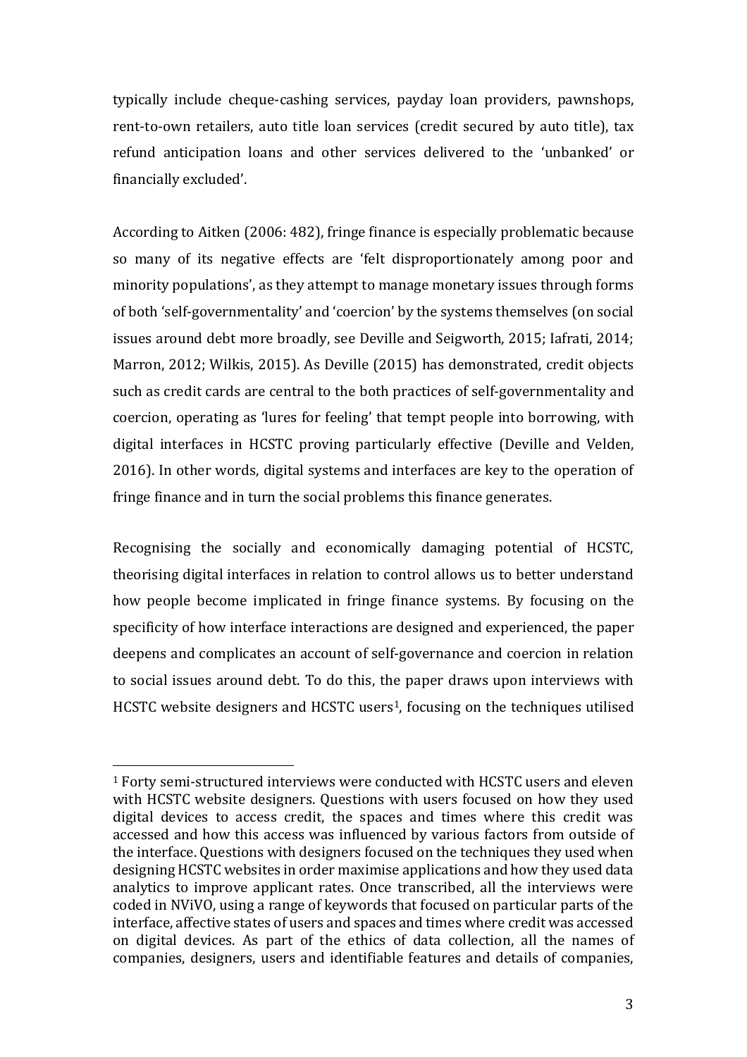typically include cheque-cashing services, payday loan providers, pawnshops, rent-to-own retailers, auto title loan services (credit secured by auto title), tax refund anticipation loans and other services delivered to the 'unbanked' or financially excluded'.

According to Aitken (2006: 482), fringe finance is especially problematic because so many of its negative effects are 'felt disproportionately among poor and minority populations', as they attempt to manage monetary issues through forms of both 'self-governmentality' and 'coercion' by the systems themselves (on social issues around debt more broadly, see Deville and Seigworth, 2015; Iafrati, 2014; Marron, 2012; Wilkis, 2015). As Deville (2015) has demonstrated, credit objects such as credit cards are central to the both practices of self-governmentality and coercion, operating as 'lures for feeling' that tempt people into borrowing, with digital interfaces in HCSTC proving particularly effective (Deville and Velden, 2016). In other words, digital systems and interfaces are key to the operation of fringe finance and in turn the social problems this finance generates.

Recognising the socially and economically damaging potential of HCSTC, theorising digital interfaces in relation to control allows us to better understand how people become implicated in fringe finance systems. By focusing on the specificity of how interface interactions are designed and experienced, the paper deepens and complicates an account of self-governance and coercion in relation to social issues around debt. To do this, the paper draws upon interviews with HCSTC website designers and HCSTC users<sup>1</sup>, focusing on the techniques utilised

 $\overline{a}$ 

<sup>1</sup> Forty semi-structured interviews were conducted with HCSTC users and eleven with HCSTC website designers. Questions with users focused on how they used digital devices to access credit, the spaces and times where this credit was accessed and how this access was influenced by various factors from outside of the interface. Questions with designers focused on the techniques they used when designing HCSTC websites in order maximise applications and how they used data analytics to improve applicant rates. Once transcribed, all the interviews were coded in NViVO, using a range of keywords that focused on particular parts of the interface, affective states of users and spaces and times where credit was accessed on digital devices. As part of the ethics of data collection, all the names of companies, designers, users and identifiable features and details of companies,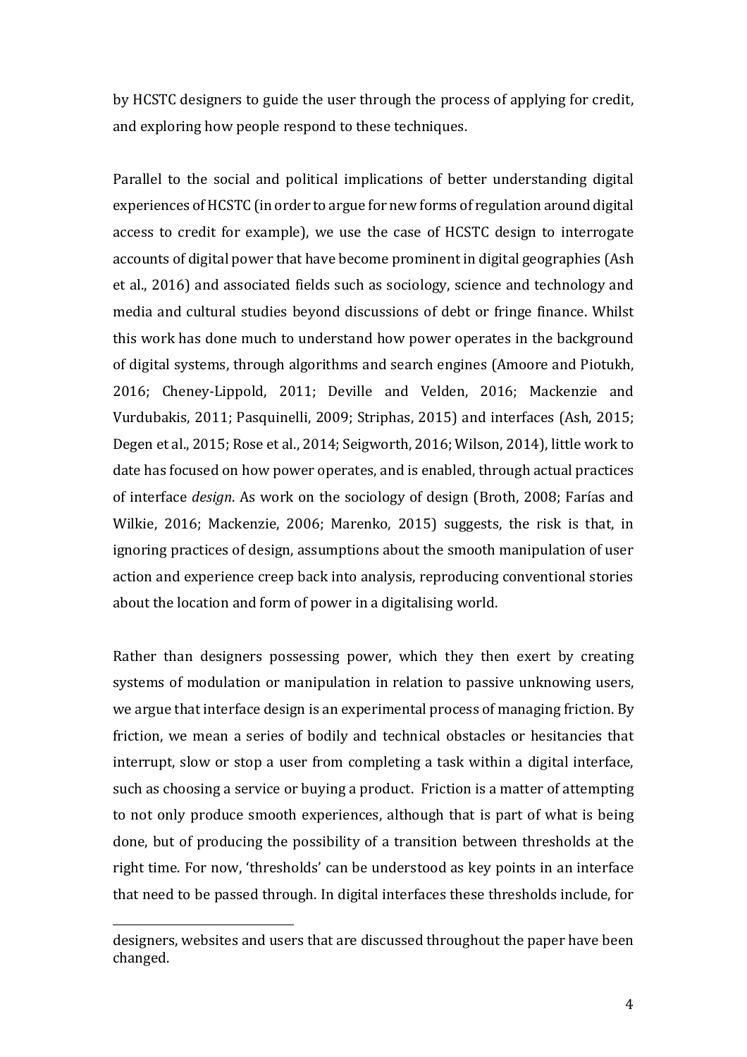by HCSTC designers to guide the user through the process of applying for credit, and exploring how people respond to these techniques.

Parallel to the social and political implications of better understanding digital experiences of HCSTC (in order to argue for new forms of regulation around digital access to credit for example), we use the case of HCSTC design to interrogate accounts of digital power that have become prominent in digital geographies (Ash et al., 2016) and associated fields such as sociology, science and technology and media and cultural studies beyond discussions of debt or fringe finance. Whilst this work has done much to understand how power operates in the background of digital systems, through algorithms and search engines (Amoore and Piotukh, 2016; Cheney-Lippold, 2011; Deville and Velden, 2016; Mackenzie and Vurdubakis, 2011; Pasquinelli, 2009; Striphas, 2015) and interfaces (Ash, 2015; Degen et al., 2015; Rose et al., 2014; Seigworth, 2016; Wilson, 2014), little work to date has focused on how power operates, and is enabled, through actual practices of interface *design*. As work on the sociology of design (Broth, 2008; Farías and Wilkie, 2016; Mackenzie, 2006; Marenko, 2015) suggests, the risk is that, in ignoring practices of design, assumptions about the smooth manipulation of user action and experience creep back into analysis, reproducing conventional stories about the location and form of power in a digitalising world.

Rather than designers possessing power, which they then exert by creating systems of modulation or manipulation in relation to passive unknowing users, we argue that interface design is an experimental process of managing friction. By friction, we mean a series of bodily and technical obstacles or hesitancies that interrupt, slow or stop a user from completing a task within a digital interface, such as choosing a service or buying a product. Friction is a matter of attempting to not only produce smooth experiences, although that is part of what is being done, but of producing the possibility of a transition between thresholds at the right time. For now, 'thresholds' can be understood as key points in an interface that need to be passed through. In digital interfaces these thresholds include, for

 $\overline{a}$ 

designers, websites and users that are discussed throughout the paper have been changed.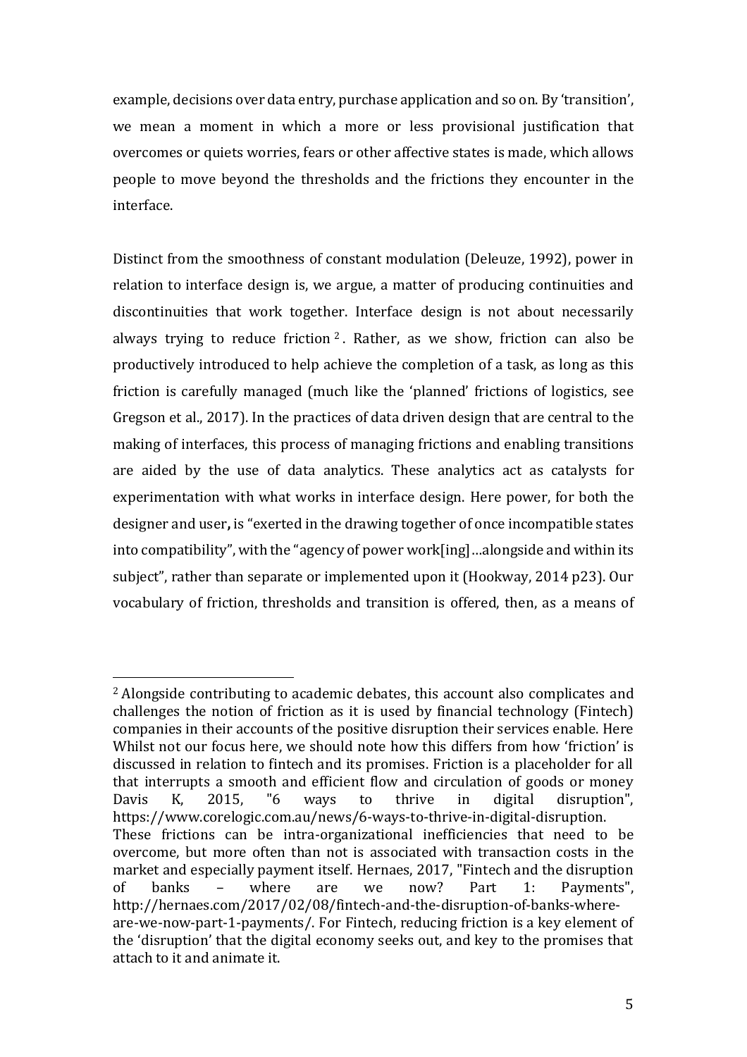example, decisions over data entry, purchase application and so on. By 'transition', we mean a moment in which a more or less provisional justification that overcomes or quiets worries, fears or other affective states is made, which allows people to move beyond the thresholds and the frictions they encounter in the interface.

Distinct from the smoothness of constant modulation (Deleuze, 1992), power in relation to interface design is, we argue, a matter of producing continuities and discontinuities that work together. Interface design is not about necessarily always trying to reduce friction  $2$ . Rather, as we show, friction can also be productively introduced to help achieve the completion of a task, as long as this friction is carefully managed (much like the 'planned' frictions of logistics, see Gregson et al., 2017). In the practices of data driven design that are central to the making of interfaces, this process of managing frictions and enabling transitions are aided by the use of data analytics. These analytics act as catalysts for experimentation with what works in interface design. Here power, for both the designer and user**,** is "exerted in the drawing together of once incompatible states into compatibility", with the "agency of power work[ing]…alongside and within its subject", rather than separate or implemented upon it (Hookway, 2014 p23). Our vocabulary of friction, thresholds and transition is offered, then, as a means of

 $\overline{a}$ <sup>2</sup> Alongside contributing to academic debates, this account also complicates and challenges the notion of friction as it is used by financial technology (Fintech) companies in their accounts of the positive disruption their services enable. Here Whilst not our focus here, we should note how this differs from how 'friction' is discussed in relation to fintech and its promises. Friction is a placeholder for all that interrupts a smooth and efficient flow and circulation of goods or money Davis K, 2015, "6 ways to thrive in digital disruption", https://www.corelogic.com.au/news/6-ways-to-thrive-in-digital-disruption. These frictions can be intra-organizational inefficiencies that need to be overcome, but more often than not is associated with transaction costs in the market and especially payment itself. Hernaes, 2017, "Fintech and the disruption of banks – where are we now? Part 1: Payments", http://hernaes.com/2017/02/08/fintech-and-the-disruption-of-banks-whereare-we-now-part-1-payments/. For Fintech, reducing friction is a key element of the 'disruption' that the digital economy seeks out, and key to the promises that attach to it and animate it.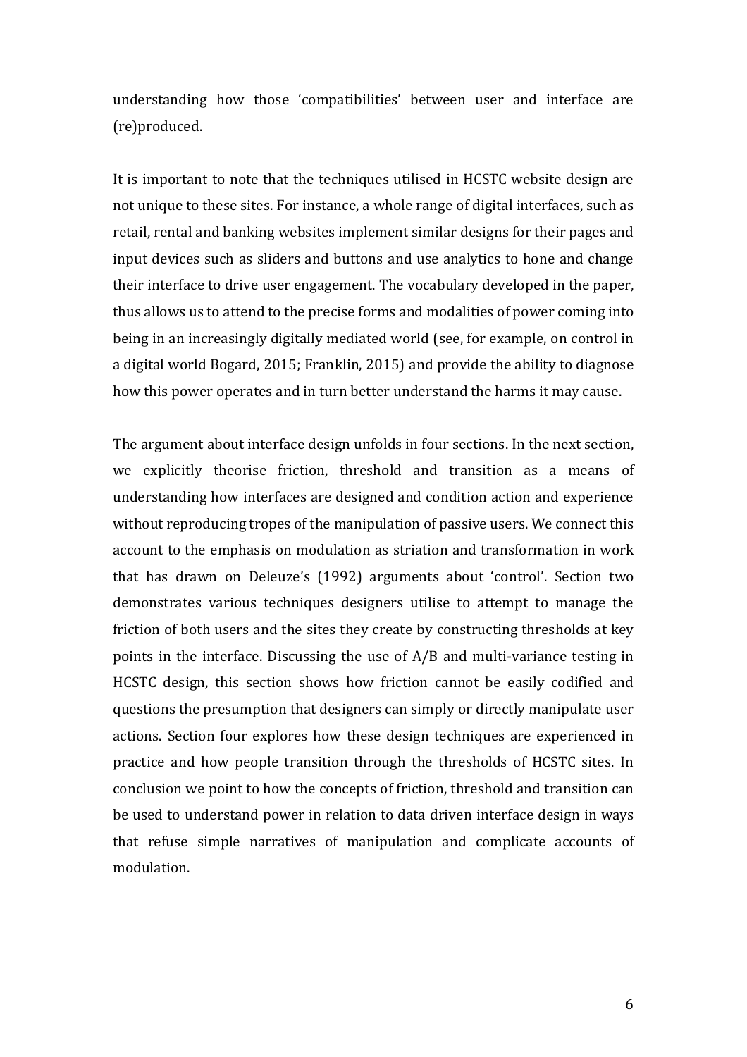understanding how those 'compatibilities' between user and interface are (re)produced.

It is important to note that the techniques utilised in HCSTC website design are not unique to these sites. For instance, a whole range of digital interfaces, such as retail, rental and banking websites implement similar designs for their pages and input devices such as sliders and buttons and use analytics to hone and change their interface to drive user engagement. The vocabulary developed in the paper, thus allows us to attend to the precise forms and modalities of power coming into being in an increasingly digitally mediated world (see, for example, on control in a digital world Bogard, 2015; Franklin, 2015) and provide the ability to diagnose how this power operates and in turn better understand the harms it may cause.

The argument about interface design unfolds in four sections. In the next section, we explicitly theorise friction, threshold and transition as a means of understanding how interfaces are designed and condition action and experience without reproducing tropes of the manipulation of passive users. We connect this account to the emphasis on modulation as striation and transformation in work that has drawn on Deleuze's (1992) arguments about 'control'. Section two demonstrates various techniques designers utilise to attempt to manage the friction of both users and the sites they create by constructing thresholds at key points in the interface. Discussing the use of A/B and multi-variance testing in HCSTC design, this section shows how friction cannot be easily codified and questions the presumption that designers can simply or directly manipulate user actions. Section four explores how these design techniques are experienced in practice and how people transition through the thresholds of HCSTC sites. In conclusion we point to how the concepts of friction, threshold and transition can be used to understand power in relation to data driven interface design in ways that refuse simple narratives of manipulation and complicate accounts of modulation.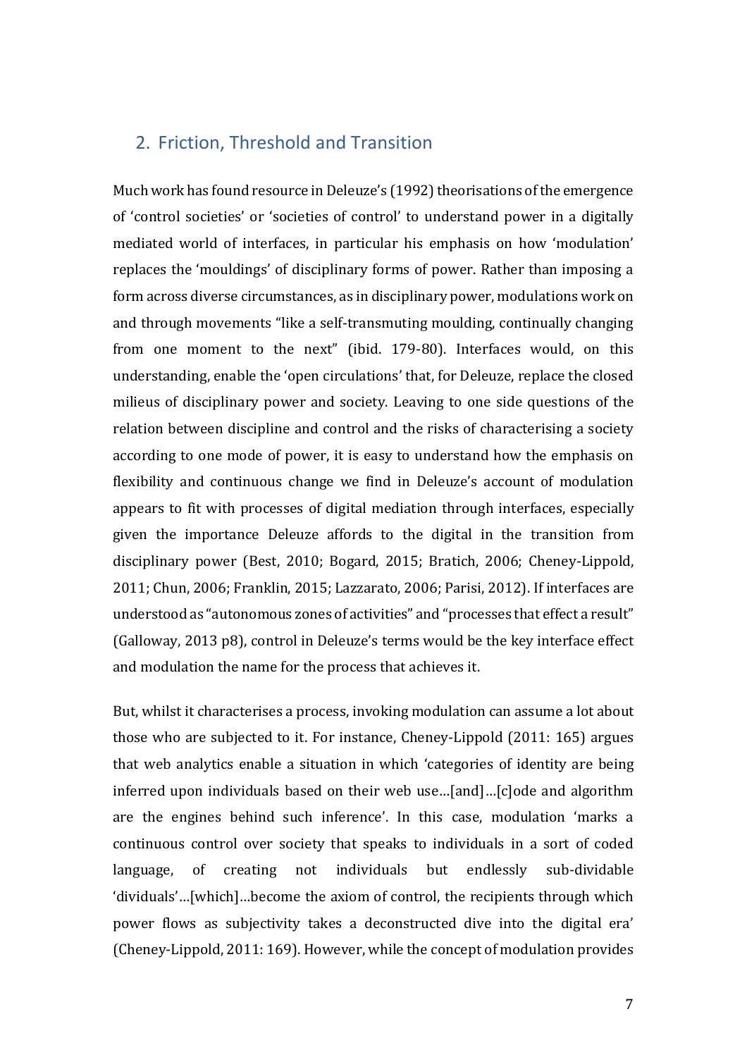## 2. Friction, Threshold and Transition

Much work has found resource in Deleuze's (1992) theorisations of the emergence of 'control societies' or 'societies of control' to understand power in a digitally mediated world of interfaces, in particular his emphasis on how 'modulation' replaces the 'mouldings' of disciplinary forms of power. Rather than imposing a form across diverse circumstances, as in disciplinary power, modulations work on and through movements "like a self-transmuting moulding, continually changing from one moment to the next" (ibid. 179-80). Interfaces would, on this understanding, enable the 'open circulations' that, for Deleuze, replace the closed milieus of disciplinary power and society. Leaving to one side questions of the relation between discipline and control and the risks of characterising a society according to one mode of power, it is easy to understand how the emphasis on flexibility and continuous change we find in Deleuze's account of modulation appears to fit with processes of digital mediation through interfaces, especially given the importance Deleuze affords to the digital in the transition from disciplinary power (Best, 2010; Bogard, 2015; Bratich, 2006; Cheney-Lippold, 2011; Chun, 2006; Franklin, 2015; Lazzarato, 2006; Parisi, 2012). If interfaces are understood as "autonomous zones of activities" and "processes that effect a result" (Galloway, 2013 p8), control in Deleuze's terms would be the key interface effect and modulation the name for the process that achieves it.

But, whilst it characterises a process, invoking modulation can assume a lot about those who are subjected to it. For instance, Cheney-Lippold (2011: 165) argues that web analytics enable a situation in which 'categories of identity are being inferred upon individuals based on their web use…[and]…[c]ode and algorithm are the engines behind such inference'. In this case, modulation 'marks a continuous control over society that speaks to individuals in a sort of coded language, of creating not individuals but endlessly sub-dividable 'dividuals'…[which]…become the axiom of control, the recipients through which power flows as subjectivity takes a deconstructed dive into the digital era' (Cheney-Lippold, 2011: 169). However, while the concept of modulation provides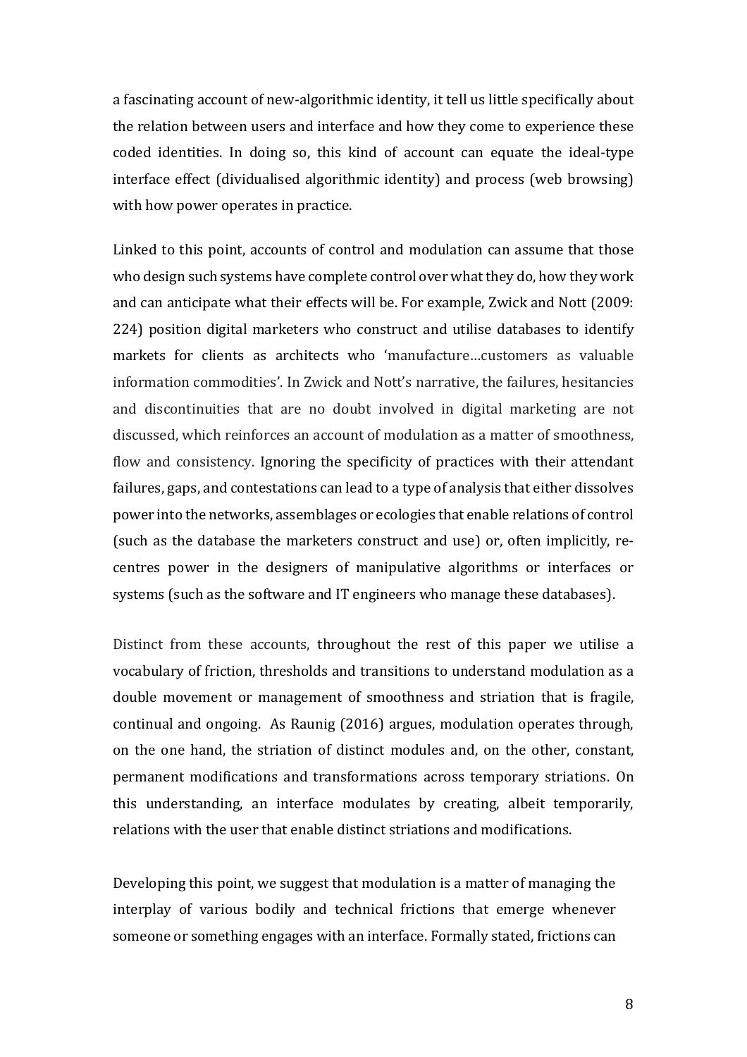a fascinating account of new-algorithmic identity, it tell us little specifically about the relation between users and interface and how they come to experience these coded identities. In doing so, this kind of account can equate the ideal-type interface effect (dividualised algorithmic identity) and process (web browsing) with how power operates in practice.

Linked to this point, accounts of control and modulation can assume that those who design such systems have complete control over what they do, how they work and can anticipate what their effects will be. For example, Zwick and Nott (2009: 224) position digital marketers who construct and utilise databases to identify markets for clients as architects who 'manufacture…customers as valuable information commodities'. In Zwick and Nott's narrative, the failures, hesitancies and discontinuities that are no doubt involved in digital marketing are not discussed, which reinforces an account of modulation as a matter of smoothness, flow and consistency. Ignoring the specificity of practices with their attendant failures, gaps, and contestations can lead to a type of analysis that either dissolves power into the networks, assemblages or ecologies that enable relations of control (such as the database the marketers construct and use) or, often implicitly, recentres power in the designers of manipulative algorithms or interfaces or systems (such as the software and IT engineers who manage these databases).

Distinct from these accounts, throughout the rest of this paper we utilise a vocabulary of friction, thresholds and transitions to understand modulation as a double movement or management of smoothness and striation that is fragile, continual and ongoing. As Raunig (2016) argues, modulation operates through, on the one hand, the striation of distinct modules and, on the other, constant, permanent modifications and transformations across temporary striations. On this understanding, an interface modulates by creating, albeit temporarily, relations with the user that enable distinct striations and modifications.

Developing this point, we suggest that modulation is a matter of managing the interplay of various bodily and technical frictions that emerge whenever someone or something engages with an interface. Formally stated, frictions can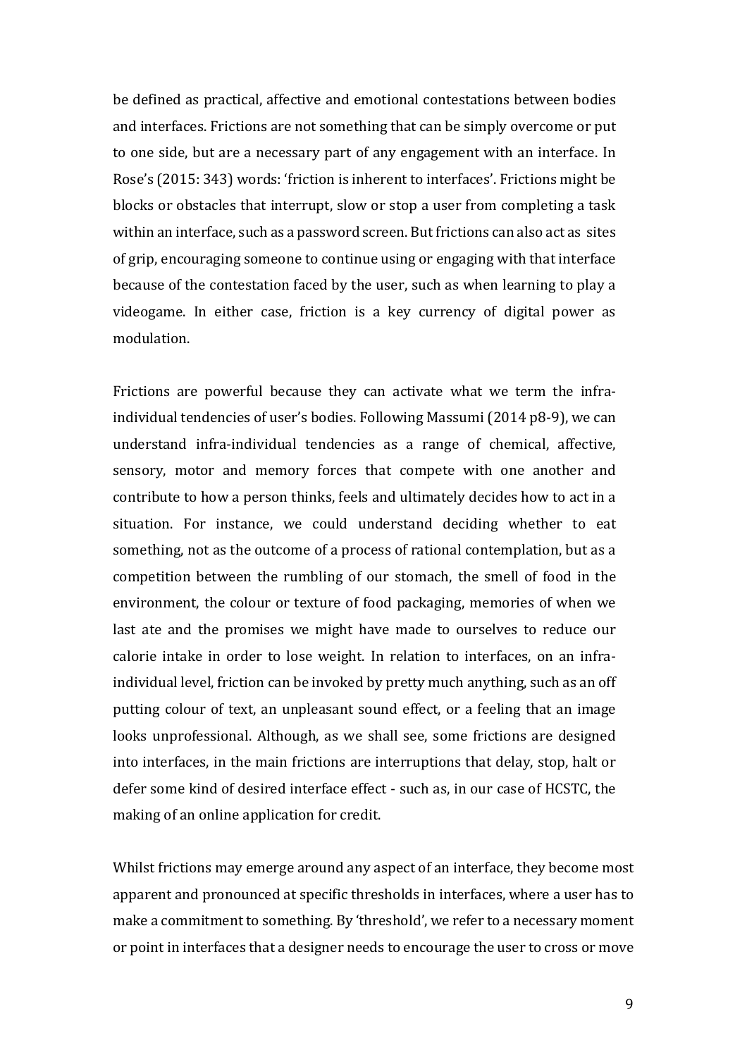be defined as practical, affective and emotional contestations between bodies and interfaces. Frictions are not something that can be simply overcome or put to one side, but are a necessary part of any engagement with an interface. In Rose's (2015: 343) words: 'friction is inherent to interfaces'. Frictions might be blocks or obstacles that interrupt, slow or stop a user from completing a task within an interface, such as a password screen. But frictions can also act as sites of grip, encouraging someone to continue using or engaging with that interface because of the contestation faced by the user, such as when learning to play a videogame. In either case, friction is a key currency of digital power as modulation.

Frictions are powerful because they can activate what we term the infraindividual tendencies of user's bodies. Following Massumi (2014 p8-9), we can understand infra-individual tendencies as a range of chemical, affective, sensory, motor and memory forces that compete with one another and contribute to how a person thinks, feels and ultimately decides how to act in a situation. For instance, we could understand deciding whether to eat something, not as the outcome of a process of rational contemplation, but as a competition between the rumbling of our stomach, the smell of food in the environment, the colour or texture of food packaging, memories of when we last ate and the promises we might have made to ourselves to reduce our calorie intake in order to lose weight. In relation to interfaces, on an infraindividual level, friction can be invoked by pretty much anything, such as an off putting colour of text, an unpleasant sound effect, or a feeling that an image looks unprofessional. Although, as we shall see, some frictions are designed into interfaces, in the main frictions are interruptions that delay, stop, halt or defer some kind of desired interface effect - such as, in our case of HCSTC, the making of an online application for credit.

Whilst frictions may emerge around any aspect of an interface, they become most apparent and pronounced at specific thresholds in interfaces, where a user has to make a commitment to something. By 'threshold', we refer to a necessary moment or point in interfaces that a designer needs to encourage the user to cross or move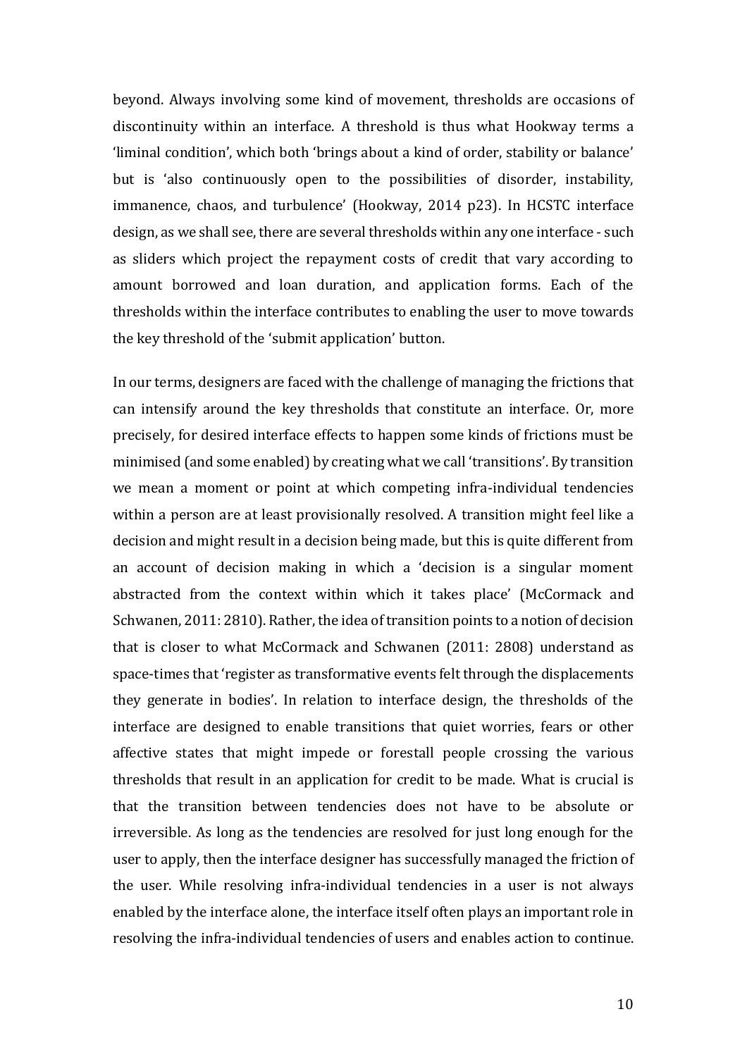beyond. Always involving some kind of movement, thresholds are occasions of discontinuity within an interface. A threshold is thus what Hookway terms a 'liminal condition', which both 'brings about a kind of order, stability or balance' but is 'also continuously open to the possibilities of disorder, instability, immanence, chaos, and turbulence' (Hookway, 2014 p23). In HCSTC interface design, as we shall see, there are several thresholds within any one interface - such as sliders which project the repayment costs of credit that vary according to amount borrowed and loan duration, and application forms. Each of the thresholds within the interface contributes to enabling the user to move towards the key threshold of the 'submit application' button.

In our terms, designers are faced with the challenge of managing the frictions that can intensify around the key thresholds that constitute an interface. Or, more precisely, for desired interface effects to happen some kinds of frictions must be minimised (and some enabled) by creating what we call 'transitions'. By transition we mean a moment or point at which competing infra-individual tendencies within a person are at least provisionally resolved. A transition might feel like a decision and might result in a decision being made, but this is quite different from an account of decision making in which a 'decision is a singular moment abstracted from the context within which it takes place' (McCormack and Schwanen, 2011: 2810). Rather, the idea of transition points to a notion of decision that is closer to what McCormack and Schwanen (2011: 2808) understand as space-times that 'register as transformative events felt through the displacements they generate in bodies'. In relation to interface design, the thresholds of the interface are designed to enable transitions that quiet worries, fears or other affective states that might impede or forestall people crossing the various thresholds that result in an application for credit to be made. What is crucial is that the transition between tendencies does not have to be absolute or irreversible. As long as the tendencies are resolved for just long enough for the user to apply, then the interface designer has successfully managed the friction of the user. While resolving infra-individual tendencies in a user is not always enabled by the interface alone, the interface itself often plays an important role in resolving the infra-individual tendencies of users and enables action to continue.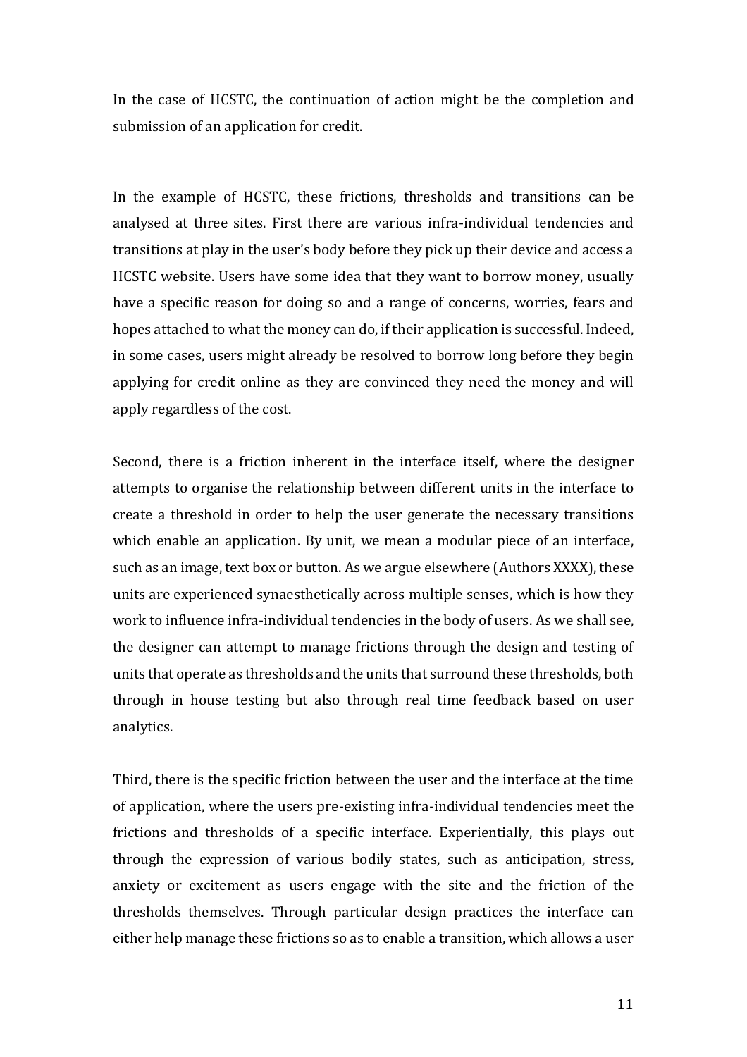In the case of HCSTC, the continuation of action might be the completion and submission of an application for credit.

In the example of HCSTC, these frictions, thresholds and transitions can be analysed at three sites. First there are various infra-individual tendencies and transitions at play in the user's body before they pick up their device and access a HCSTC website. Users have some idea that they want to borrow money, usually have a specific reason for doing so and a range of concerns, worries, fears and hopes attached to what the money can do, if their application is successful. Indeed, in some cases, users might already be resolved to borrow long before they begin applying for credit online as they are convinced they need the money and will apply regardless of the cost.

Second, there is a friction inherent in the interface itself, where the designer attempts to organise the relationship between different units in the interface to create a threshold in order to help the user generate the necessary transitions which enable an application. By unit, we mean a modular piece of an interface, such as an image, text box or button. As we argue elsewhere (Authors XXXX), these units are experienced synaesthetically across multiple senses, which is how they work to influence infra-individual tendencies in the body of users. As we shall see, the designer can attempt to manage frictions through the design and testing of units that operate as thresholds and the units that surround these thresholds, both through in house testing but also through real time feedback based on user analytics.

Third, there is the specific friction between the user and the interface at the time of application, where the users pre-existing infra-individual tendencies meet the frictions and thresholds of a specific interface. Experientially, this plays out through the expression of various bodily states, such as anticipation, stress, anxiety or excitement as users engage with the site and the friction of the thresholds themselves. Through particular design practices the interface can either help manage these frictions so as to enable a transition, which allows a user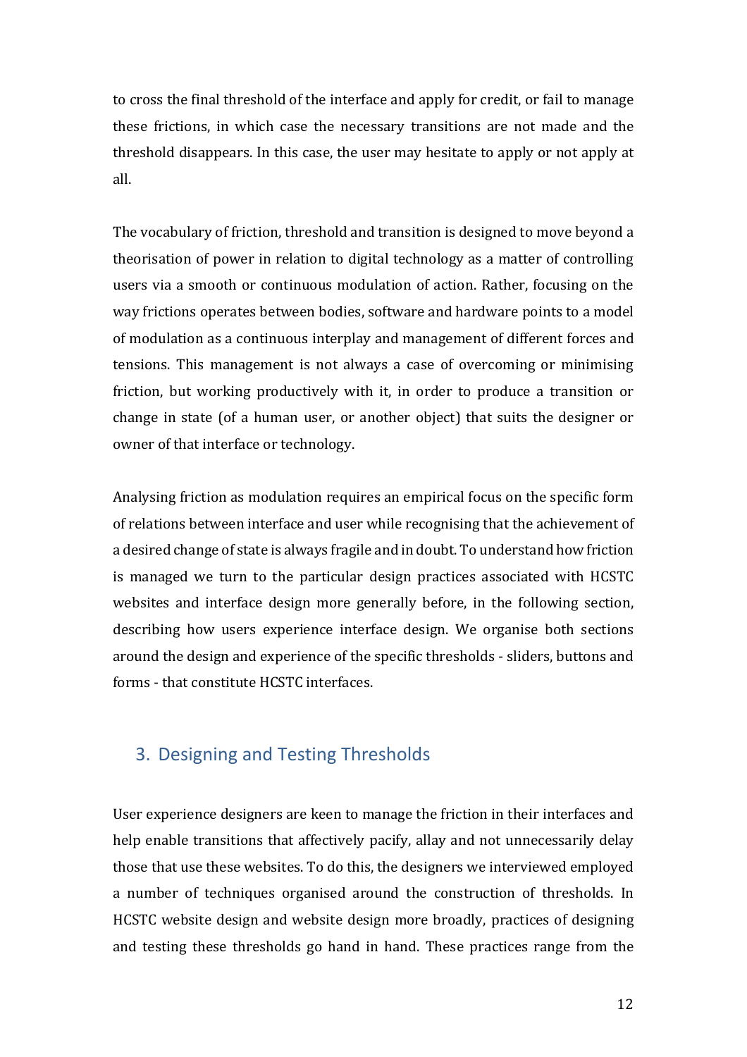to cross the final threshold of the interface and apply for credit, or fail to manage these frictions, in which case the necessary transitions are not made and the threshold disappears. In this case, the user may hesitate to apply or not apply at all.

The vocabulary of friction, threshold and transition is designed to move beyond a theorisation of power in relation to digital technology as a matter of controlling users via a smooth or continuous modulation of action. Rather, focusing on the way frictions operates between bodies, software and hardware points to a model of modulation as a continuous interplay and management of different forces and tensions. This management is not always a case of overcoming or minimising friction, but working productively with it, in order to produce a transition or change in state (of a human user, or another object) that suits the designer or owner of that interface or technology.

Analysing friction as modulation requires an empirical focus on the specific form of relations between interface and user while recognising that the achievement of a desired change of state is always fragile and in doubt. To understand how friction is managed we turn to the particular design practices associated with HCSTC websites and interface design more generally before, in the following section, describing how users experience interface design. We organise both sections around the design and experience of the specific thresholds - sliders, buttons and forms - that constitute HCSTC interfaces.

## 3. Designing and Testing Thresholds

User experience designers are keen to manage the friction in their interfaces and help enable transitions that affectively pacify, allay and not unnecessarily delay those that use these websites. To do this, the designers we interviewed employed a number of techniques organised around the construction of thresholds. In HCSTC website design and website design more broadly, practices of designing and testing these thresholds go hand in hand. These practices range from the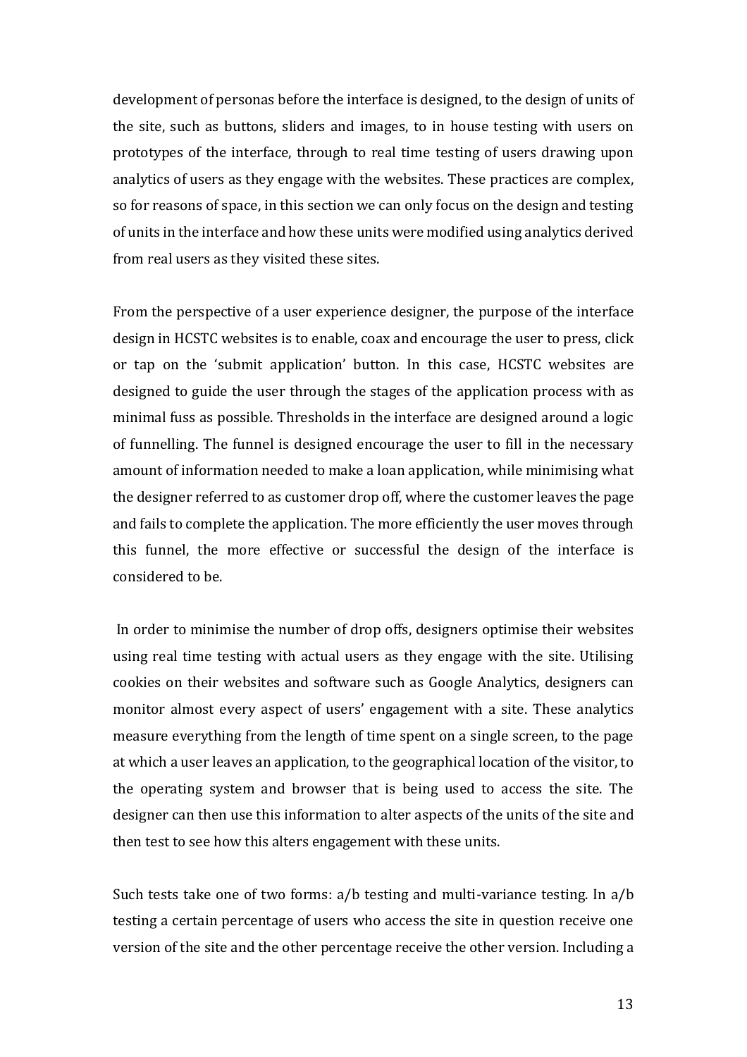development of personas before the interface is designed, to the design of units of the site, such as buttons, sliders and images, to in house testing with users on prototypes of the interface, through to real time testing of users drawing upon analytics of users as they engage with the websites. These practices are complex, so for reasons of space, in this section we can only focus on the design and testing of units in the interface and how these units were modified using analytics derived from real users as they visited these sites.

From the perspective of a user experience designer, the purpose of the interface design in HCSTC websites is to enable, coax and encourage the user to press, click or tap on the 'submit application' button. In this case, HCSTC websites are designed to guide the user through the stages of the application process with as minimal fuss as possible. Thresholds in the interface are designed around a logic of funnelling. The funnel is designed encourage the user to fill in the necessary amount of information needed to make a loan application, while minimising what the designer referred to as customer drop off, where the customer leaves the page and fails to complete the application. The more efficiently the user moves through this funnel, the more effective or successful the design of the interface is considered to be.

In order to minimise the number of drop offs, designers optimise their websites using real time testing with actual users as they engage with the site. Utilising cookies on their websites and software such as Google Analytics, designers can monitor almost every aspect of users' engagement with a site. These analytics measure everything from the length of time spent on a single screen, to the page at which a user leaves an application, to the geographical location of the visitor, to the operating system and browser that is being used to access the site. The designer can then use this information to alter aspects of the units of the site and then test to see how this alters engagement with these units.

Such tests take one of two forms: a/b testing and multi-variance testing. In a/b testing a certain percentage of users who access the site in question receive one version of the site and the other percentage receive the other version. Including a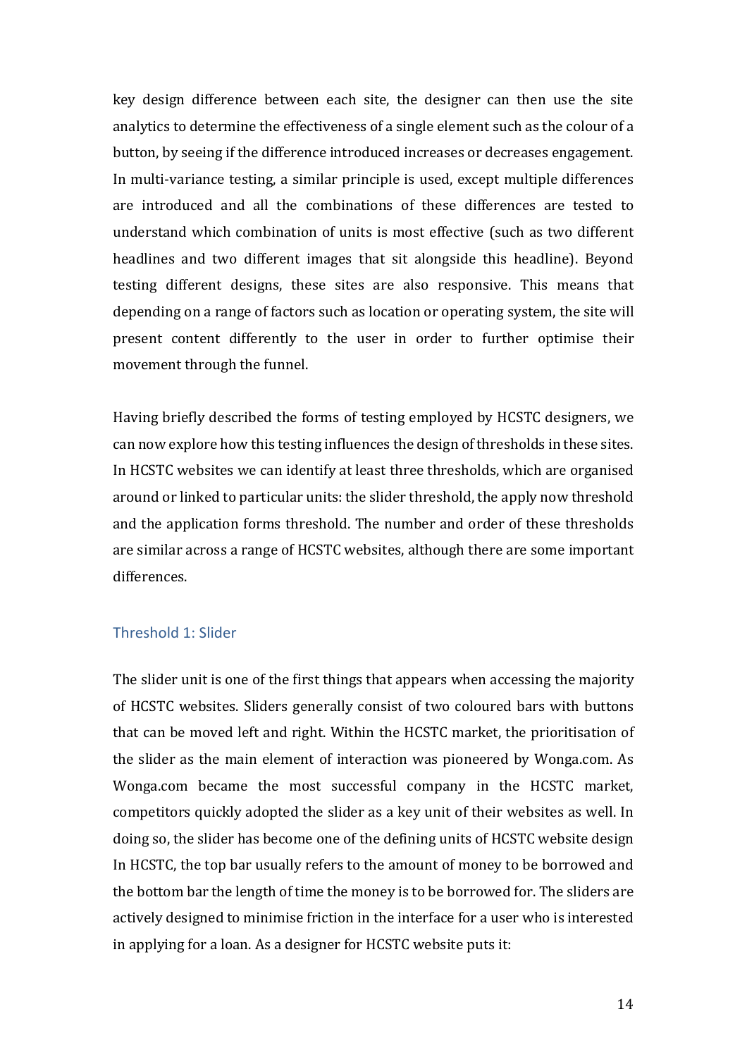key design difference between each site, the designer can then use the site analytics to determine the effectiveness of a single element such as the colour of a button, by seeing if the difference introduced increases or decreases engagement. In multi-variance testing, a similar principle is used, except multiple differences are introduced and all the combinations of these differences are tested to understand which combination of units is most effective (such as two different headlines and two different images that sit alongside this headline). Beyond testing different designs, these sites are also responsive. This means that depending on a range of factors such as location or operating system, the site will present content differently to the user in order to further optimise their movement through the funnel.

Having briefly described the forms of testing employed by HCSTC designers, we can now explore how this testing influences the design of thresholds in these sites. In HCSTC websites we can identify at least three thresholds, which are organised around or linked to particular units: the slider threshold, the apply now threshold and the application forms threshold. The number and order of these thresholds are similar across a range of HCSTC websites, although there are some important differences.

### Threshold 1: Slider

The slider unit is one of the first things that appears when accessing the majority of HCSTC websites. Sliders generally consist of two coloured bars with buttons that can be moved left and right. Within the HCSTC market, the prioritisation of the slider as the main element of interaction was pioneered by Wonga.com. As Wonga.com became the most successful company in the HCSTC market, competitors quickly adopted the slider as a key unit of their websites as well. In doing so, the slider has become one of the defining units of HCSTC website design In HCSTC, the top bar usually refers to the amount of money to be borrowed and the bottom bar the length of time the money is to be borrowed for. The sliders are actively designed to minimise friction in the interface for a user who is interested in applying for a loan. As a designer for HCSTC website puts it: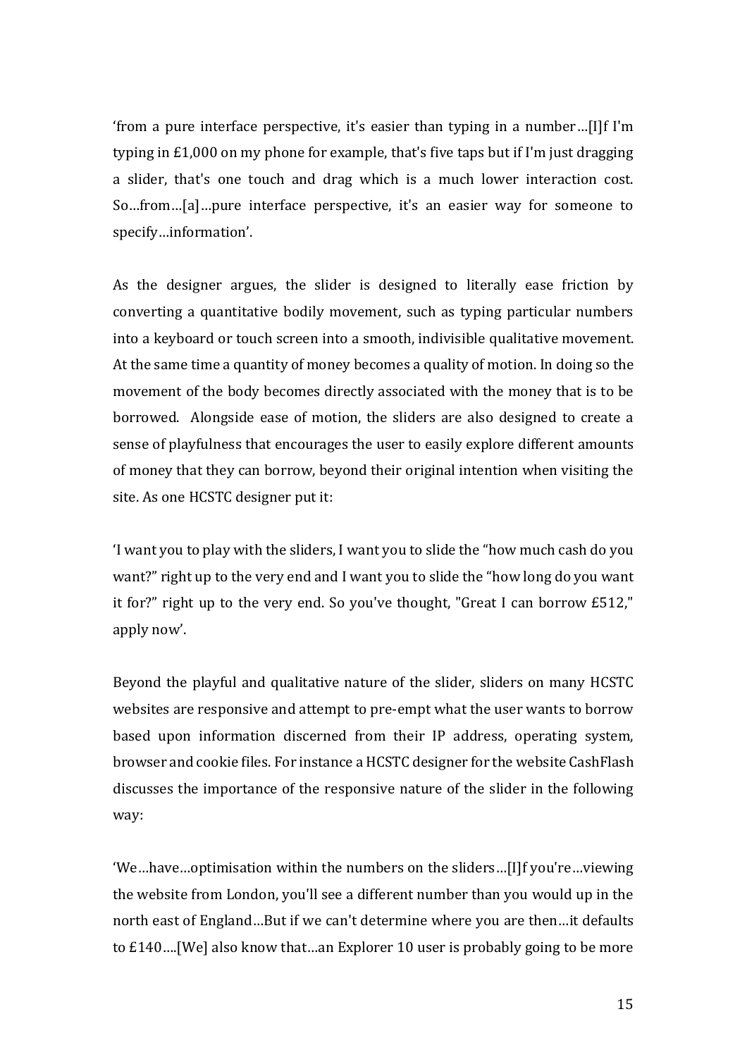'from a pure interface perspective, it's easier than typing in a number…[I]f I'm typing in £1,000 on my phone for example, that's five taps but if I'm just dragging a slider, that's one touch and drag which is a much lower interaction cost. So…from…[a]…pure interface perspective, it's an easier way for someone to specify…information'.

As the designer argues, the slider is designed to literally ease friction by converting a quantitative bodily movement, such as typing particular numbers into a keyboard or touch screen into a smooth, indivisible qualitative movement. At the same time a quantity of money becomes a quality of motion. In doing so the movement of the body becomes directly associated with the money that is to be borrowed. Alongside ease of motion, the sliders are also designed to create a sense of playfulness that encourages the user to easily explore different amounts of money that they can borrow, beyond their original intention when visiting the site. As one HCSTC designer put it:

'I want you to play with the sliders, I want you to slide the "how much cash do you want?" right up to the very end and I want you to slide the "how long do you want it for?" right up to the very end. So you've thought, "Great I can borrow £512," apply now'.

Beyond the playful and qualitative nature of the slider, sliders on many HCSTC websites are responsive and attempt to pre-empt what the user wants to borrow based upon information discerned from their IP address, operating system, browser and cookie files. For instance a HCSTC designer for the website CashFlash discusses the importance of the responsive nature of the slider in the following way:

'We…have…optimisation within the numbers on the sliders…[I]f you're…viewing the website from London, you'll see a different number than you would up in the north east of England…But if we can't determine where you are then…it defaults to £140….[We] also know that…an Explorer 10 user is probably going to be more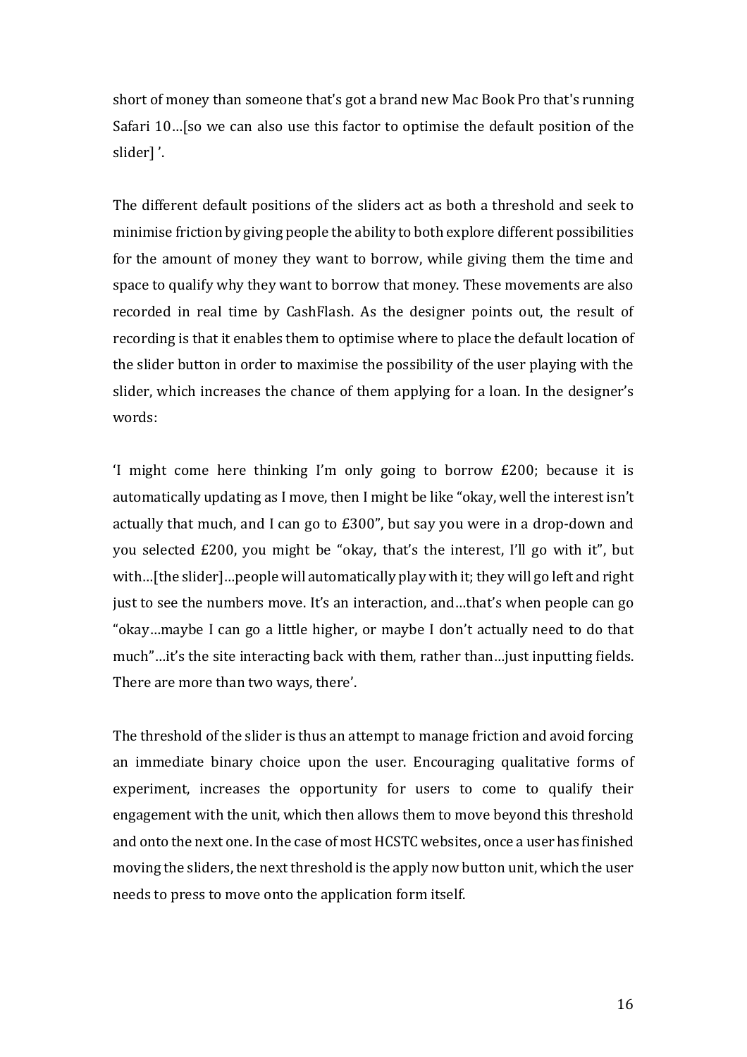short of money than someone that's got a brand new Mac Book Pro that's running Safari 10…[so we can also use this factor to optimise the default position of the slider] '.

The different default positions of the sliders act as both a threshold and seek to minimise friction by giving people the ability to both explore different possibilities for the amount of money they want to borrow, while giving them the time and space to qualify why they want to borrow that money. These movements are also recorded in real time by CashFlash. As the designer points out, the result of recording is that it enables them to optimise where to place the default location of the slider button in order to maximise the possibility of the user playing with the slider, which increases the chance of them applying for a loan. In the designer's words:

'I might come here thinking I'm only going to borrow £200; because it is automatically updating as I move, then I might be like "okay, well the interest isn't actually that much, and I can go to £300", but say you were in a drop-down and you selected £200, you might be "okay, that's the interest, I'll go with it", but with…[the slider]…people will automatically play with it; they will go left and right just to see the numbers move. It's an interaction, and…that's when people can go "okay…maybe I can go a little higher, or maybe I don't actually need to do that much"…it's the site interacting back with them, rather than…just inputting fields. There are more than two ways, there'.

The threshold of the slider is thus an attempt to manage friction and avoid forcing an immediate binary choice upon the user. Encouraging qualitative forms of experiment, increases the opportunity for users to come to qualify their engagement with the unit, which then allows them to move beyond this threshold and onto the next one. In the case of most HCSTC websites, once a user has finished moving the sliders, the next threshold is the apply now button unit, which the user needs to press to move onto the application form itself.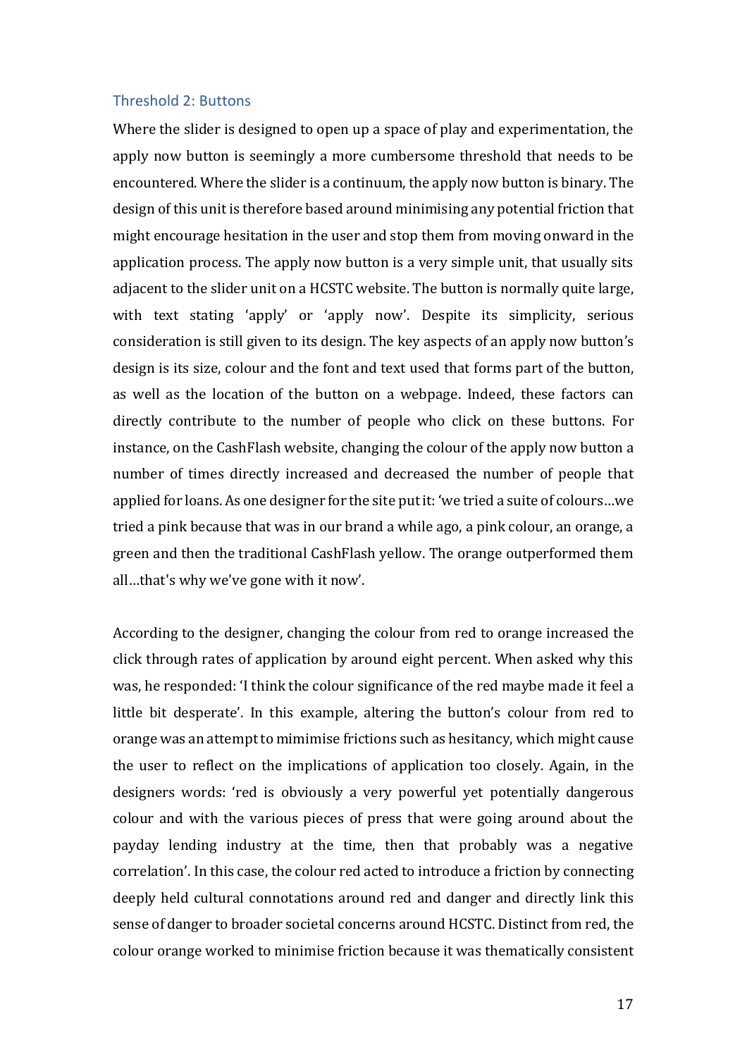#### Threshold 2: Buttons

Where the slider is designed to open up a space of play and experimentation, the apply now button is seemingly a more cumbersome threshold that needs to be encountered. Where the slider is a continuum, the apply now button is binary. The design of this unit is therefore based around minimising any potential friction that might encourage hesitation in the user and stop them from moving onward in the application process. The apply now button is a very simple unit, that usually sits adjacent to the slider unit on a HCSTC website. The button is normally quite large, with text stating 'apply' or 'apply now'. Despite its simplicity, serious consideration is still given to its design. The key aspects of an apply now button's design is its size, colour and the font and text used that forms part of the button, as well as the location of the button on a webpage. Indeed, these factors can directly contribute to the number of people who click on these buttons. For instance, on the CashFlash website, changing the colour of the apply now button a number of times directly increased and decreased the number of people that applied for loans. As one designer for the site put it: 'we tried a suite of colours…we tried a pink because that was in our brand a while ago, a pink colour, an orange, a green and then the traditional CashFlash yellow. The orange outperformed them all…that's why we've gone with it now'.

According to the designer, changing the colour from red to orange increased the click through rates of application by around eight percent. When asked why this was, he responded: 'I think the colour significance of the red maybe made it feel a little bit desperate'. In this example, altering the button's colour from red to orange was an attempt to mimimise frictions such as hesitancy, which might cause the user to reflect on the implications of application too closely. Again, in the designers words: 'red is obviously a very powerful yet potentially dangerous colour and with the various pieces of press that were going around about the payday lending industry at the time, then that probably was a negative correlation'. In this case, the colour red acted to introduce a friction by connecting deeply held cultural connotations around red and danger and directly link this sense of danger to broader societal concerns around HCSTC. Distinct from red, the colour orange worked to minimise friction because it was thematically consistent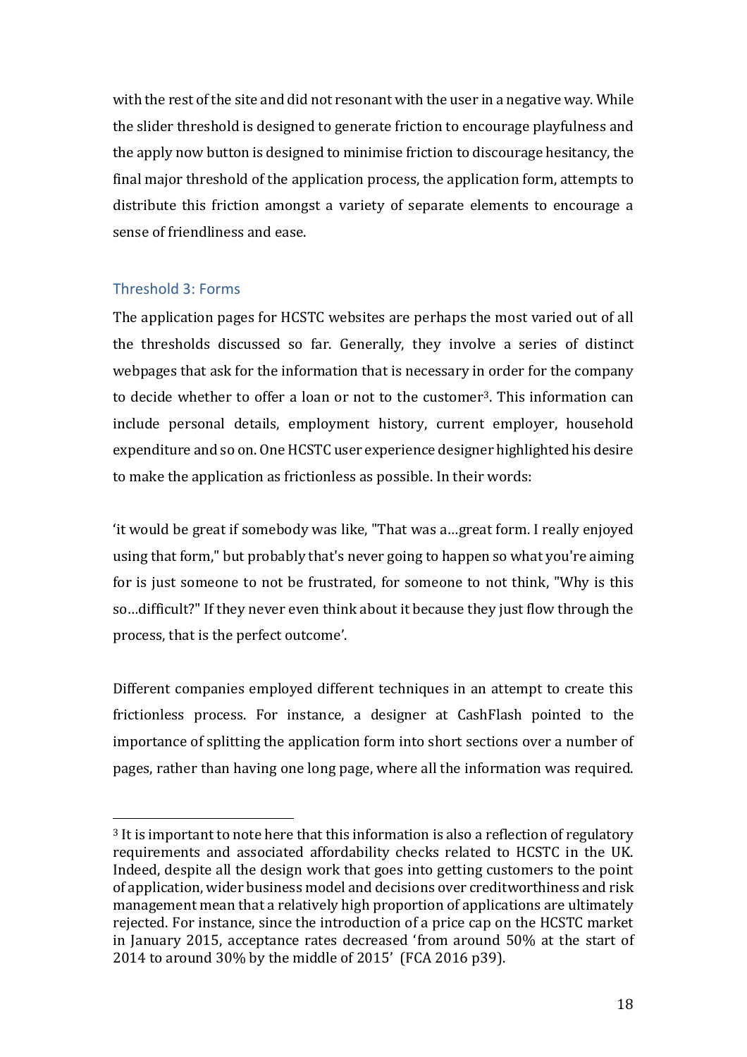with the rest of the site and did not resonant with the user in a negative way. While the slider threshold is designed to generate friction to encourage playfulness and the apply now button is designed to minimise friction to discourage hesitancy, the final major threshold of the application process, the application form, attempts to distribute this friction amongst a variety of separate elements to encourage a sense of friendliness and ease.

## Threshold 3: Forms

 $\overline{a}$ 

The application pages for HCSTC websites are perhaps the most varied out of all the thresholds discussed so far. Generally, they involve a series of distinct webpages that ask for the information that is necessary in order for the company to decide whether to offer a loan or not to the customer3. This information can include personal details, employment history, current employer, household expenditure and so on. One HCSTC user experience designer highlighted his desire to make the application as frictionless as possible. In their words:

'it would be great if somebody was like, "That was a…great form. I really enjoyed using that form," but probably that's never going to happen so what you're aiming for is just someone to not be frustrated, for someone to not think, "Why is this so…difficult?" If they never even think about it because they just flow through the process, that is the perfect outcome'.

Different companies employed different techniques in an attempt to create this frictionless process. For instance, a designer at CashFlash pointed to the importance of splitting the application form into short sections over a number of pages, rather than having one long page, where all the information was required.

<sup>&</sup>lt;sup>3</sup> It is important to note here that this information is also a reflection of regulatory requirements and associated affordability checks related to HCSTC in the UK. Indeed, despite all the design work that goes into getting customers to the point of application, wider business model and decisions over creditworthiness and risk management mean that a relatively high proportion of applications are ultimately rejected. For instance, since the introduction of a price cap on the HCSTC market in January 2015, acceptance rates decreased 'from around 50% at the start of 2014 to around 30% by the middle of 2015' (FCA 2016 p39).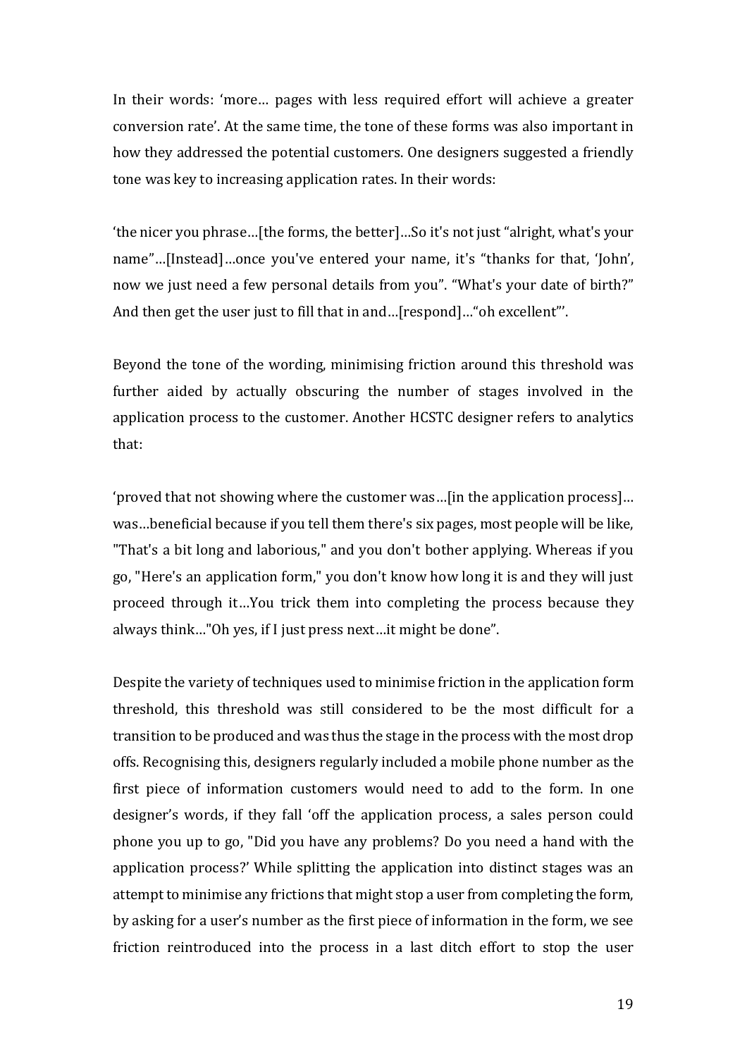In their words: 'more… pages with less required effort will achieve a greater conversion rate'. At the same time, the tone of these forms was also important in how they addressed the potential customers. One designers suggested a friendly tone was key to increasing application rates. In their words:

'the nicer you phrase…[the forms, the better]…So it's not just "alright, what's your name"…[Instead]…once you've entered your name, it's "thanks for that, 'John', now we just need a few personal details from you". "What's your date of birth?" And then get the user just to fill that in and…[respond]…"oh excellent"'.

Beyond the tone of the wording, minimising friction around this threshold was further aided by actually obscuring the number of stages involved in the application process to the customer. Another HCSTC designer refers to analytics that:

'proved that not showing where the customer was…[in the application process]… was…beneficial because if you tell them there's six pages, most people will be like, "That's a bit long and laborious," and you don't bother applying. Whereas if you go, "Here's an application form," you don't know how long it is and they will just proceed through it…You trick them into completing the process because they always think…"Oh yes, if I just press next…it might be done".

Despite the variety of techniques used to minimise friction in the application form threshold, this threshold was still considered to be the most difficult for a transition to be produced and was thus the stage in the process with the most drop offs. Recognising this, designers regularly included a mobile phone number as the first piece of information customers would need to add to the form. In one designer's words, if they fall 'off the application process, a sales person could phone you up to go, "Did you have any problems? Do you need a hand with the application process?' While splitting the application into distinct stages was an attempt to minimise any frictions that might stop a user from completing the form, by asking for a user's number as the first piece of information in the form, we see friction reintroduced into the process in a last ditch effort to stop the user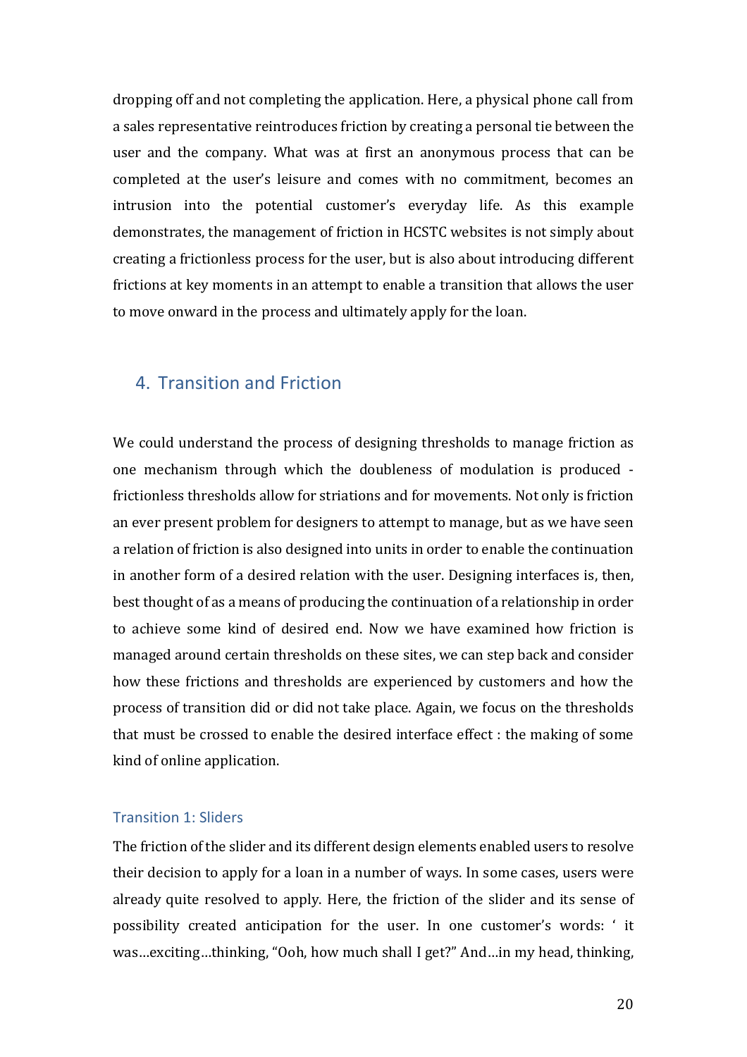dropping off and not completing the application. Here, a physical phone call from a sales representative reintroduces friction by creating a personal tie between the user and the company. What was at first an anonymous process that can be completed at the user's leisure and comes with no commitment, becomes an intrusion into the potential customer's everyday life. As this example demonstrates, the management of friction in HCSTC websites is not simply about creating a frictionless process for the user, but is also about introducing different frictions at key moments in an attempt to enable a transition that allows the user to move onward in the process and ultimately apply for the loan.

## 4. Transition and Friction

We could understand the process of designing thresholds to manage friction as one mechanism through which the doubleness of modulation is produced frictionless thresholds allow for striations and for movements. Not only is friction an ever present problem for designers to attempt to manage, but as we have seen a relation of friction is also designed into units in order to enable the continuation in another form of a desired relation with the user. Designing interfaces is, then, best thought of as a means of producing the continuation of a relationship in order to achieve some kind of desired end. Now we have examined how friction is managed around certain thresholds on these sites, we can step back and consider how these frictions and thresholds are experienced by customers and how the process of transition did or did not take place. Again, we focus on the thresholds that must be crossed to enable the desired interface effect : the making of some kind of online application.

## Transition 1: Sliders

The friction of the slider and its different design elements enabled users to resolve their decision to apply for a loan in a number of ways. In some cases, users were already quite resolved to apply. Here, the friction of the slider and its sense of possibility created anticipation for the user. In one customer's words: ' it was…exciting…thinking, "Ooh, how much shall I get?" And…in my head, thinking,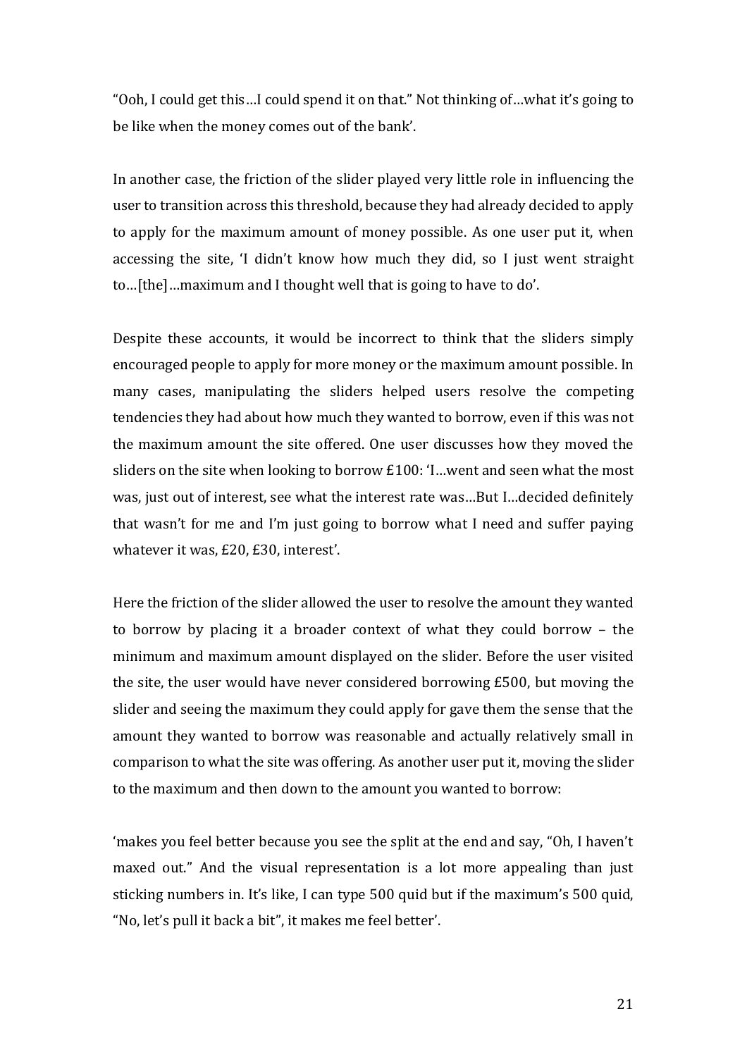"Ooh, I could get this…I could spend it on that." Not thinking of…what it's going to be like when the money comes out of the bank'.

In another case, the friction of the slider played very little role in influencing the user to transition across this threshold, because they had already decided to apply to apply for the maximum amount of money possible. As one user put it, when accessing the site, 'I didn't know how much they did, so I just went straight to…[the]…maximum and I thought well that is going to have to do'.

Despite these accounts, it would be incorrect to think that the sliders simply encouraged people to apply for more money or the maximum amount possible. In many cases, manipulating the sliders helped users resolve the competing tendencies they had about how much they wanted to borrow, even if this was not the maximum amount the site offered. One user discusses how they moved the sliders on the site when looking to borrow £100: 'I…went and seen what the most was, just out of interest, see what the interest rate was…But I…decided definitely that wasn't for me and I'm just going to borrow what I need and suffer paying whatever it was, £20, £30, interest'.

Here the friction of the slider allowed the user to resolve the amount they wanted to borrow by placing it a broader context of what they could borrow – the minimum and maximum amount displayed on the slider. Before the user visited the site, the user would have never considered borrowing £500, but moving the slider and seeing the maximum they could apply for gave them the sense that the amount they wanted to borrow was reasonable and actually relatively small in comparison to what the site was offering. As another user put it, moving the slider to the maximum and then down to the amount you wanted to borrow:

'makes you feel better because you see the split at the end and say, "Oh, I haven't maxed out." And the visual representation is a lot more appealing than just sticking numbers in. It's like, I can type 500 quid but if the maximum's 500 quid, "No, let's pull it back a bit", it makes me feel better'.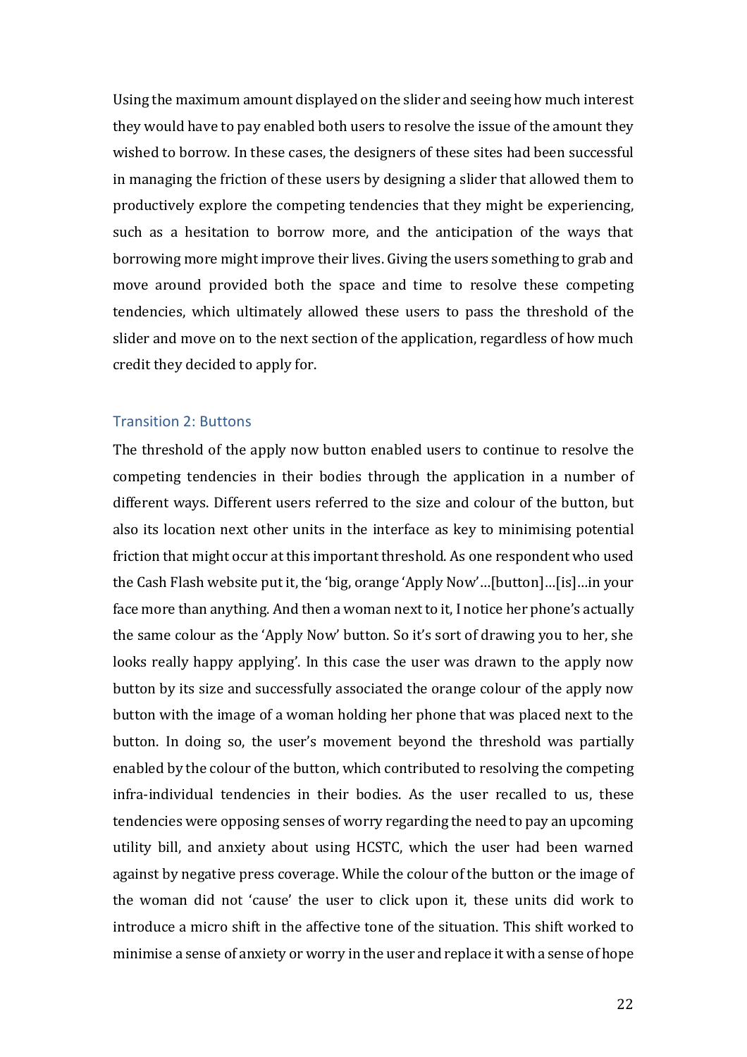Using the maximum amount displayed on the slider and seeing how much interest they would have to pay enabled both users to resolve the issue of the amount they wished to borrow. In these cases, the designers of these sites had been successful in managing the friction of these users by designing a slider that allowed them to productively explore the competing tendencies that they might be experiencing, such as a hesitation to borrow more, and the anticipation of the ways that borrowing more might improve their lives. Giving the users something to grab and move around provided both the space and time to resolve these competing tendencies, which ultimately allowed these users to pass the threshold of the slider and move on to the next section of the application, regardless of how much credit they decided to apply for.

## Transition 2: Buttons

The threshold of the apply now button enabled users to continue to resolve the competing tendencies in their bodies through the application in a number of different ways. Different users referred to the size and colour of the button, but also its location next other units in the interface as key to minimising potential friction that might occur at this important threshold. As one respondent who used the Cash Flash website put it, the 'big, orange 'Apply Now'…[button]…[is]…in your face more than anything. And then a woman next to it, I notice her phone's actually the same colour as the 'Apply Now' button. So it's sort of drawing you to her, she looks really happy applying'. In this case the user was drawn to the apply now button by its size and successfully associated the orange colour of the apply now button with the image of a woman holding her phone that was placed next to the button. In doing so, the user's movement beyond the threshold was partially enabled by the colour of the button, which contributed to resolving the competing infra-individual tendencies in their bodies. As the user recalled to us, these tendencies were opposing senses of worry regarding the need to pay an upcoming utility bill, and anxiety about using HCSTC, which the user had been warned against by negative press coverage. While the colour of the button or the image of the woman did not 'cause' the user to click upon it, these units did work to introduce a micro shift in the affective tone of the situation. This shift worked to minimise a sense of anxiety or worry in the user and replace it with a sense of hope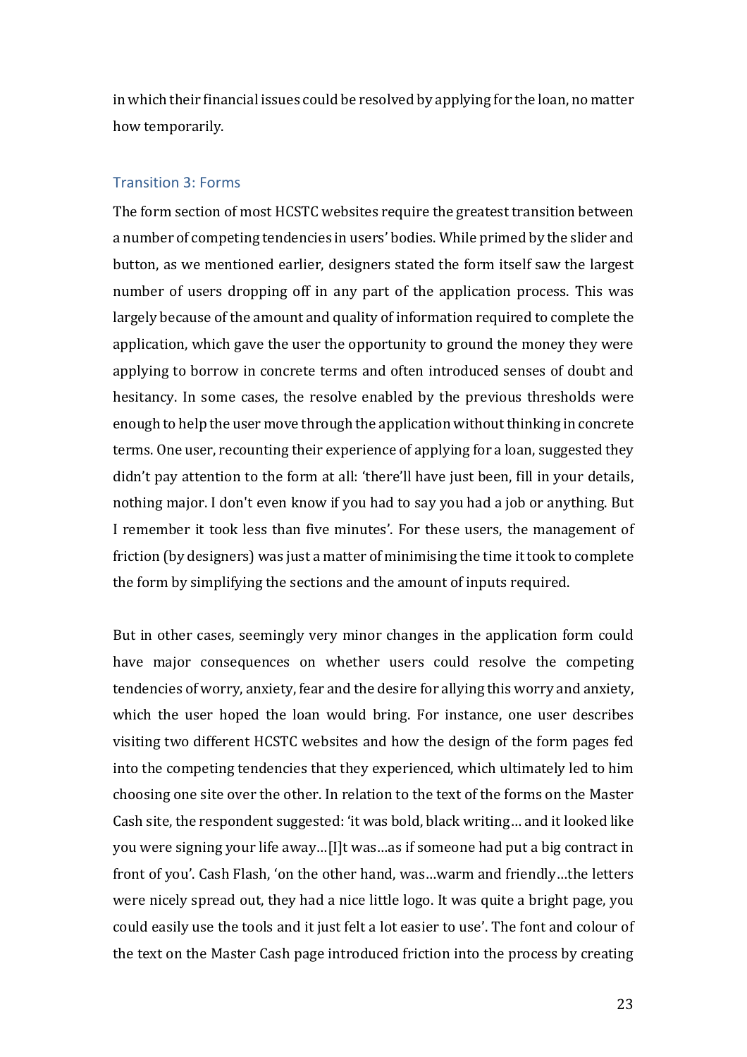in which their financial issues could be resolved by applying for the loan, no matter how temporarily.

## Transition 3: Forms

The form section of most HCSTC websites require the greatest transition between a number of competing tendencies in users' bodies. While primed by the slider and button, as we mentioned earlier, designers stated the form itself saw the largest number of users dropping off in any part of the application process. This was largely because of the amount and quality of information required to complete the application, which gave the user the opportunity to ground the money they were applying to borrow in concrete terms and often introduced senses of doubt and hesitancy. In some cases, the resolve enabled by the previous thresholds were enough to help the user move through the application without thinking in concrete terms. One user, recounting their experience of applying for a loan, suggested they didn't pay attention to the form at all: 'there'll have just been, fill in your details, nothing major. I don't even know if you had to say you had a job or anything. But I remember it took less than five minutes'. For these users, the management of friction (by designers) was just a matter of minimising the time it took to complete the form by simplifying the sections and the amount of inputs required.

But in other cases, seemingly very minor changes in the application form could have major consequences on whether users could resolve the competing tendencies of worry, anxiety, fear and the desire for allying this worry and anxiety, which the user hoped the loan would bring. For instance, one user describes visiting two different HCSTC websites and how the design of the form pages fed into the competing tendencies that they experienced, which ultimately led to him choosing one site over the other. In relation to the text of the forms on the Master Cash site, the respondent suggested: 'it was bold, black writing… and it looked like you were signing your life away…[I]t was…as if someone had put a big contract in front of you'. Cash Flash, 'on the other hand, was…warm and friendly…the letters were nicely spread out, they had a nice little logo. It was quite a bright page, you could easily use the tools and it just felt a lot easier to use'. The font and colour of the text on the Master Cash page introduced friction into the process by creating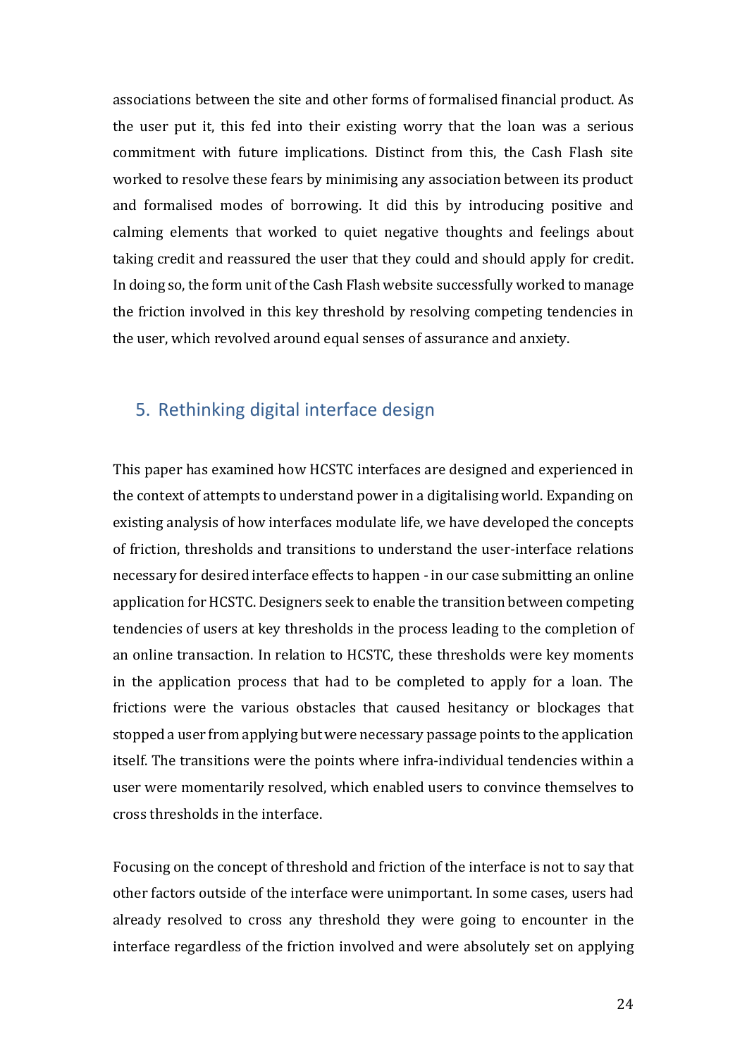associations between the site and other forms of formalised financial product. As the user put it, this fed into their existing worry that the loan was a serious commitment with future implications. Distinct from this, the Cash Flash site worked to resolve these fears by minimising any association between its product and formalised modes of borrowing. It did this by introducing positive and calming elements that worked to quiet negative thoughts and feelings about taking credit and reassured the user that they could and should apply for credit. In doing so, the form unit of the Cash Flash website successfully worked to manage the friction involved in this key threshold by resolving competing tendencies in the user, which revolved around equal senses of assurance and anxiety.

# 5. Rethinking digital interface design

This paper has examined how HCSTC interfaces are designed and experienced in the context of attempts to understand power in a digitalising world. Expanding on existing analysis of how interfaces modulate life, we have developed the concepts of friction, thresholds and transitions to understand the user-interface relations necessary for desired interface effects to happen - in our case submitting an online application for HCSTC. Designers seek to enable the transition between competing tendencies of users at key thresholds in the process leading to the completion of an online transaction. In relation to HCSTC, these thresholds were key moments in the application process that had to be completed to apply for a loan. The frictions were the various obstacles that caused hesitancy or blockages that stopped a user from applying but were necessary passage points to the application itself. The transitions were the points where infra-individual tendencies within a user were momentarily resolved, which enabled users to convince themselves to cross thresholds in the interface.

Focusing on the concept of threshold and friction of the interface is not to say that other factors outside of the interface were unimportant. In some cases, users had already resolved to cross any threshold they were going to encounter in the interface regardless of the friction involved and were absolutely set on applying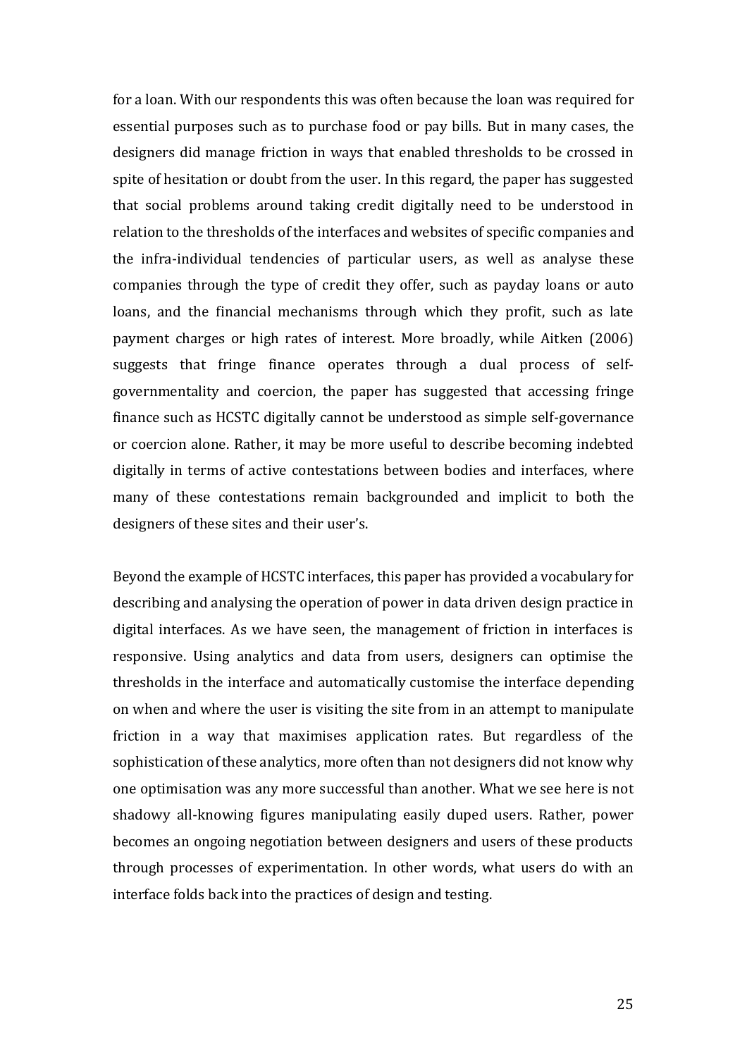for a loan. With our respondents this was often because the loan was required for essential purposes such as to purchase food or pay bills. But in many cases, the designers did manage friction in ways that enabled thresholds to be crossed in spite of hesitation or doubt from the user. In this regard, the paper has suggested that social problems around taking credit digitally need to be understood in relation to the thresholds of the interfaces and websites of specific companies and the infra-individual tendencies of particular users, as well as analyse these companies through the type of credit they offer, such as payday loans or auto loans, and the financial mechanisms through which they profit, such as late payment charges or high rates of interest. More broadly, while Aitken (2006) suggests that fringe finance operates through a dual process of selfgovernmentality and coercion, the paper has suggested that accessing fringe finance such as HCSTC digitally cannot be understood as simple self-governance or coercion alone. Rather, it may be more useful to describe becoming indebted digitally in terms of active contestations between bodies and interfaces, where many of these contestations remain backgrounded and implicit to both the designers of these sites and their user's.

Beyond the example of HCSTC interfaces, this paper has provided a vocabulary for describing and analysing the operation of power in data driven design practice in digital interfaces. As we have seen, the management of friction in interfaces is responsive. Using analytics and data from users, designers can optimise the thresholds in the interface and automatically customise the interface depending on when and where the user is visiting the site from in an attempt to manipulate friction in a way that maximises application rates. But regardless of the sophistication of these analytics, more often than not designers did not know why one optimisation was any more successful than another. What we see here is not shadowy all-knowing figures manipulating easily duped users. Rather, power becomes an ongoing negotiation between designers and users of these products through processes of experimentation. In other words, what users do with an interface folds back into the practices of design and testing.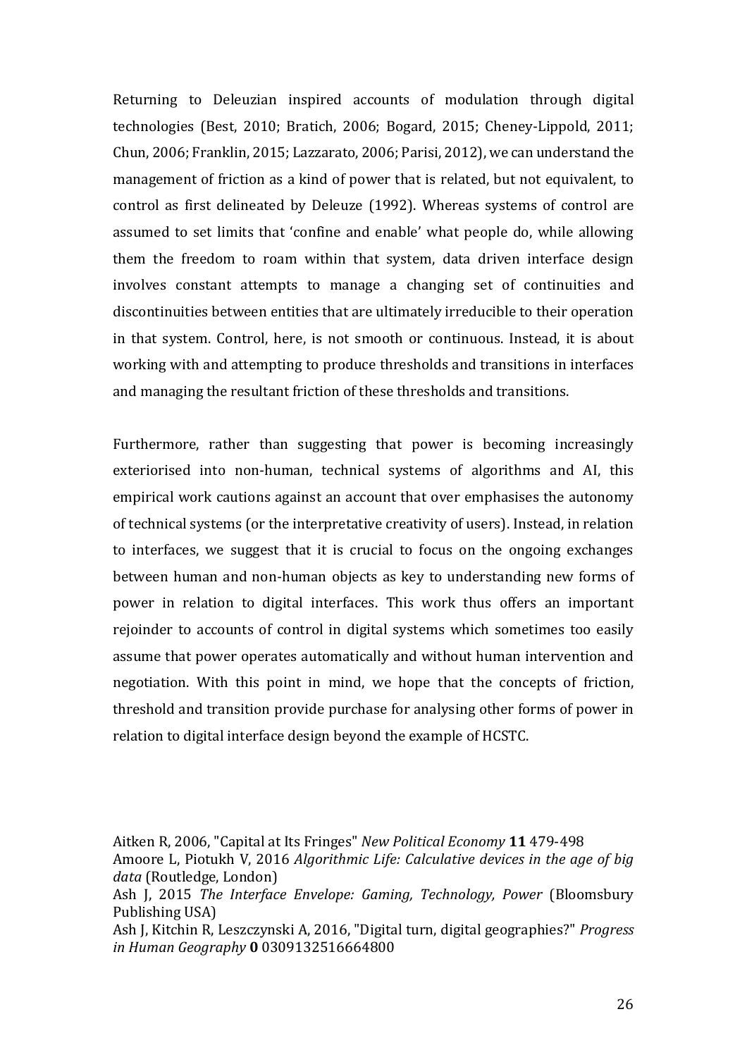Returning to Deleuzian inspired accounts of modulation through digital technologies (Best, 2010; Bratich, 2006; Bogard, 2015; Cheney-Lippold, 2011; Chun, 2006; Franklin, 2015; Lazzarato, 2006; Parisi, 2012), we can understand the management of friction as a kind of power that is related, but not equivalent, to control as first delineated by Deleuze (1992). Whereas systems of control are assumed to set limits that 'confine and enable' what people do, while allowing them the freedom to roam within that system, data driven interface design involves constant attempts to manage a changing set of continuities and discontinuities between entities that are ultimately irreducible to their operation in that system. Control, here, is not smooth or continuous. Instead, it is about working with and attempting to produce thresholds and transitions in interfaces and managing the resultant friction of these thresholds and transitions.

Furthermore, rather than suggesting that power is becoming increasingly exteriorised into non-human, technical systems of algorithms and AI, this empirical work cautions against an account that over emphasises the autonomy of technical systems (or the interpretative creativity of users). Instead, in relation to interfaces, we suggest that it is crucial to focus on the ongoing exchanges between human and non-human objects as key to understanding new forms of power in relation to digital interfaces. This work thus offers an important rejoinder to accounts of control in digital systems which sometimes too easily assume that power operates automatically and without human intervention and negotiation. With this point in mind, we hope that the concepts of friction, threshold and transition provide purchase for analysing other forms of power in relation to digital interface design beyond the example of HCSTC.

Aitken R, 2006, "Capital at Its Fringes" *New Political Economy* **11** 479-498 Amoore L, Piotukh V, 2016 *Algorithmic Life: Calculative devices in the age of big data* (Routledge, London) Ash J, 2015 *The Interface Envelope: Gaming, Technology, Power* (Bloomsbury Publishing USA) Ash J, Kitchin R, Leszczynski A, 2016, "Digital turn, digital geographies?" *Progress in Human Geography* **0** 0309132516664800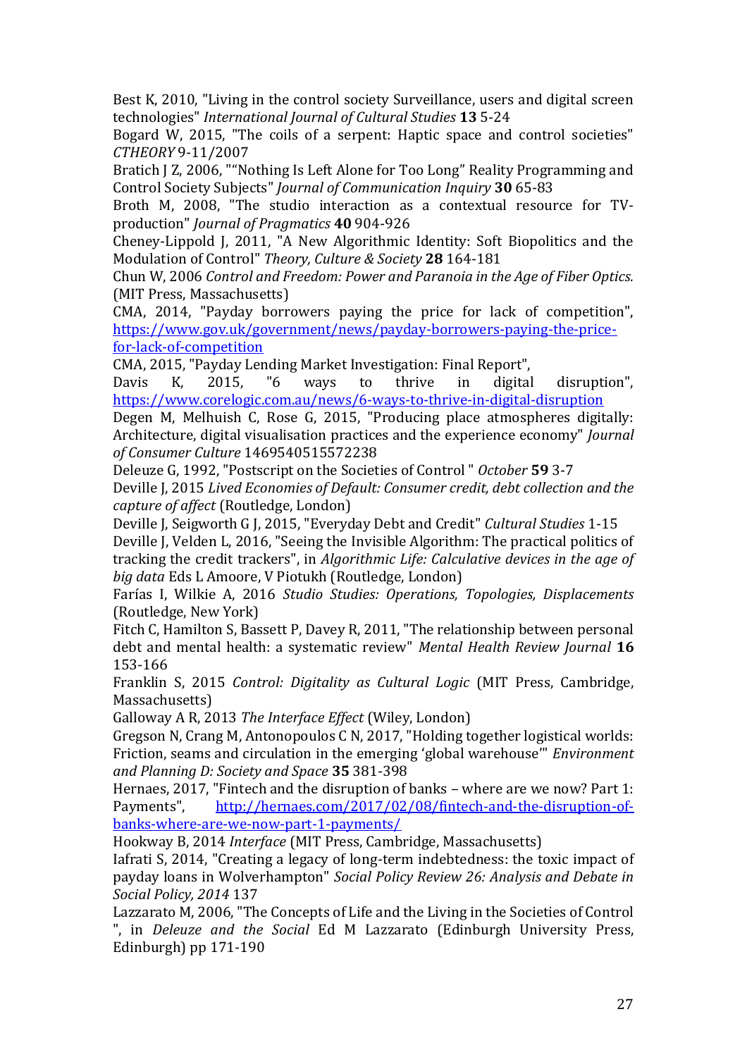Best K, 2010, "Living in the control society Surveillance, users and digital screen technologies" *International Journal of Cultural Studies* **13** 5-24

Bogard W, 2015, "The coils of a serpent: Haptic space and control societies" *CTHEORY* 9-11/2007

Bratich J Z, 2006, ""Nothing Is Left Alone for Too Long" Reality Programming and Control Society Subjects" *Journal of Communication Inquiry* **30** 65-83

Broth M, 2008, "The studio interaction as a contextual resource for TVproduction" *Journal of Pragmatics* **40** 904-926

Cheney-Lippold J, 2011, "A New Algorithmic Identity: Soft Biopolitics and the Modulation of Control" *Theory, Culture & Society* **28** 164-181

Chun W, 2006 *Control and Freedom: Power and Paranoia in the Age of Fiber Optics.* (MIT Press, Massachusetts)

CMA, 2014, "Payday borrowers paying the price for lack of competition", [https://www.gov.uk/government/news/payday-borrowers-paying-the-price](https://www.gov.uk/government/news/payday-borrowers-paying-the-price-for-lack-of-competition)[for-lack-of-competition](https://www.gov.uk/government/news/payday-borrowers-paying-the-price-for-lack-of-competition)

CMA, 2015, "Payday Lending Market Investigation: Final Report",

Davis K, 2015, "6 ways to thrive in digital disruption", <https://www.corelogic.com.au/news/6-ways-to-thrive-in-digital-disruption>

Degen M, Melhuish C, Rose G, 2015, "Producing place atmospheres digitally: Architecture, digital visualisation practices and the experience economy" *Journal of Consumer Culture* 1469540515572238

Deleuze G, 1992, "Postscript on the Societies of Control " *October* **59** 3-7

Deville J, 2015 *Lived Economies of Default: Consumer credit, debt collection and the capture of affect* (Routledge, London)

Deville J, Seigworth G J, 2015, "Everyday Debt and Credit" *Cultural Studies* 1-15 Deville J, Velden L, 2016, "Seeing the Invisible Algorithm: The practical politics of tracking the credit trackers", in *Algorithmic Life: Calculative devices in the age of big data* Eds L Amoore, V Piotukh (Routledge, London)

Farías I, Wilkie A, 2016 *Studio Studies: Operations, Topologies, Displacements* (Routledge, New York)

Fitch C, Hamilton S, Bassett P, Davey R, 2011, "The relationship between personal debt and mental health: a systematic review" *Mental Health Review Journal* **16** 153-166

Franklin S, 2015 *Control: Digitality as Cultural Logic* (MIT Press, Cambridge, Massachusetts)

Galloway A R, 2013 *The Interface Effect* (Wiley, London)

Gregson N, Crang M, Antonopoulos C N, 2017, "Holding together logistical worlds: Friction, seams and circulation in the emerging 'global warehouse'" *Environment and Planning D: Society and Space* **35** 381-398

Hernaes, 2017, "Fintech and the disruption of banks – where are we now? Part 1: Payments", [http://hernaes.com/2017/02/08/fintech-and-the-disruption-of](http://hernaes.com/2017/02/08/fintech-and-the-disruption-of-banks-where-are-we-now-part-1-payments/)[banks-where-are-we-now-part-1-payments/](http://hernaes.com/2017/02/08/fintech-and-the-disruption-of-banks-where-are-we-now-part-1-payments/)

Hookway B, 2014 *Interface* (MIT Press, Cambridge, Massachusetts)

Iafrati S, 2014, "Creating a legacy of long-term indebtedness: the toxic impact of payday loans in Wolverhampton" *Social Policy Review 26: Analysis and Debate in Social Policy, 2014* 137

Lazzarato M, 2006, "The Concepts of Life and the Living in the Societies of Control ", in *Deleuze and the Social* Ed M Lazzarato (Edinburgh University Press, Edinburgh) pp 171-190